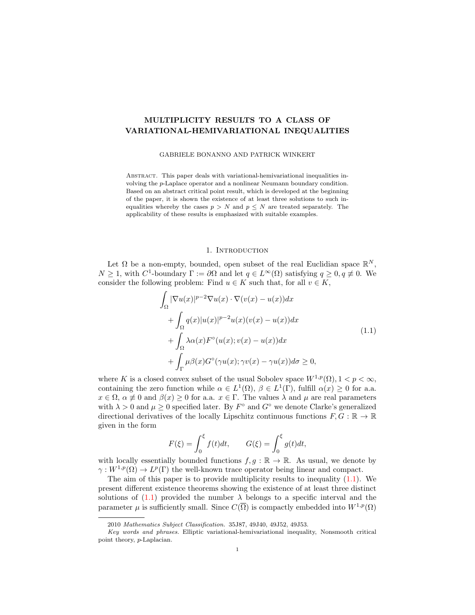# MULTIPLICITY RESULTS TO A CLASS OF VARIATIONAL-HEMIVARIATIONAL INEQUALITIES

### GABRIELE BONANNO AND PATRICK WINKERT

Abstract. This paper deals with variational-hemivariational inequalities involving the p-Laplace operator and a nonlinear Neumann boundary condition. Based on an abstract critical point result, which is developed at the beginning of the paper, it is shown the existence of at least three solutions to such inequalities whereby the cases  $p > N$  and  $p \leq N$  are treated separately. The applicability of these results is emphasized with suitable examples.

#### <span id="page-0-0"></span>1. INTRODUCTION

Let  $\Omega$  be a non-empty, bounded, open subset of the real Euclidian space  $\mathbb{R}^N$ ,  $N \geq 1$ , with  $C^1$ -boundary  $\Gamma := \partial \Omega$  and let  $q \in L^{\infty}(\Omega)$  satisfying  $q \geq 0, q \neq 0$ . We consider the following problem: Find  $u \in K$  such that, for all  $v \in K$ ,

$$
\int_{\Omega} |\nabla u(x)|^{p-2} \nabla u(x) \cdot \nabla (v(x) - u(x)) dx \n+ \int_{\Omega} q(x) |u(x)|^{p-2} u(x) (v(x) - u(x)) dx \n+ \int_{\Omega} \lambda \alpha(x) F^{\circ}(u(x); v(x) - u(x)) dx \n+ \int_{\Gamma} \mu \beta(x) G^{\circ}(\gamma u(x); \gamma v(x) - \gamma u(x)) d\sigma \ge 0,
$$
\n(1.1)

where K is a closed convex subset of the usual Sobolev space  $W^{1,p}(\Omega)$ ,  $1 < p < \infty$ , containing the zero function while  $\alpha \in L^1(\Omega)$ ,  $\beta \in L^1(\Gamma)$ , fulfill  $\alpha(x) \geq 0$  for a.a.  $x \in \Omega$ ,  $\alpha \neq 0$  and  $\beta(x) \geq 0$  for a.a.  $x \in \Gamma$ . The values  $\lambda$  and  $\mu$  are real parameters with  $\lambda > 0$  and  $\mu \geq 0$  specified later. By  $F^{\circ}$  and  $G^{\circ}$  we denote Clarke's generalized directional derivatives of the locally Lipschitz continuous functions  $F, G : \mathbb{R} \to \mathbb{R}$ given in the form

$$
F(\xi) = \int_0^{\xi} f(t)dt, \qquad G(\xi) = \int_0^{\xi} g(t)dt,
$$

with locally essentially bounded functions  $f, g : \mathbb{R} \to \mathbb{R}$ . As usual, we denote by  $\gamma: W^{1,p}(\Omega) \to L^p(\Gamma)$  the well-known trace operator being linear and compact.

The aim of this paper is to provide multiplicity results to inequality [\(1.1\)](#page-0-0). We present different existence theorems showing the existence of at least three distinct solutions of  $(1.1)$  provided the number  $\lambda$  belongs to a specific interval and the parameter  $\mu$  is sufficiently small. Since  $C(\overline{\Omega})$  is compactly embedded into  $W^{1,p}(\Omega)$ 

<sup>2010</sup> Mathematics Subject Classification. 35J87, 49J40, 49J52, 49J53.

Key words and phrases. Elliptic variational-hemivariational inequality, Nonsmooth critical point theory, p-Laplacian.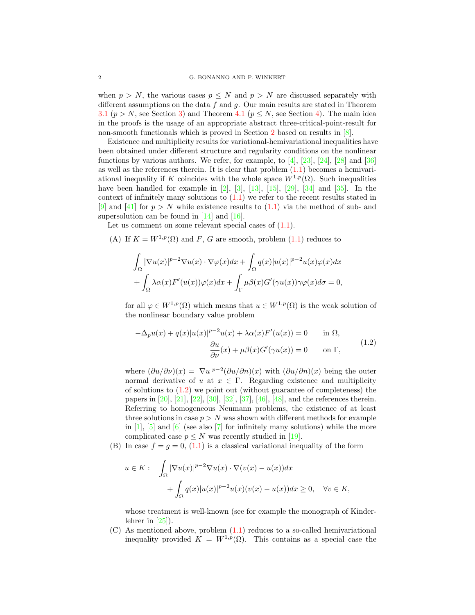when  $p > N$ , the various cases  $p \leq N$  and  $p > N$  are discussed separately with different assumptions on the data  $f$  and  $g$ . Our main results are stated in Theorem [3.1](#page-7-0) ( $p > N$ , see Section [3\)](#page-6-0) and Theorem [4.1](#page-15-0) ( $p \leq N$ , see Section [4\)](#page-14-0). The main idea in the proofs is the usage of an appropriate abstract three-critical-point-result for non-smooth functionals which is proved in Section [2](#page-2-0) based on results in  $[8]$ .

Existence and multiplicity results for variational-hemivariational inequalities have been obtained under different structure and regularity conditions on the nonlinear functions by various authors. We refer, for example, to  $[4]$ ,  $[23]$ ,  $[24]$ ,  $[28]$  and  $[36]$ as well as the references therein. It is clear that problem [\(1.1\)](#page-0-0) becomes a hemivariational inequality if K coincides with the whole space  $W^{1,p}(\Omega)$ . Such inequalities have been handled for example in  $[2]$ ,  $[3]$ ,  $[13]$ ,  $[15]$ ,  $[29]$ ,  $[34]$  and  $[35]$ . In the context of infinitely many solutions to  $(1.1)$  we refer to the recent results stated in [\[9\]](#page-18-6) and [\[41\]](#page-19-7) for  $p > N$  while existence results to [\(1.1\)](#page-0-0) via the method of sub- and supersolution can be found in  $[14]$  and  $[16]$ .

Let us comment on some relevant special cases of  $(1.1)$ .

(A) If  $K = W^{1,p}(\Omega)$  and F, G are smooth, problem [\(1.1\)](#page-0-0) reduces to

$$
\int_{\Omega} |\nabla u(x)|^{p-2} \nabla u(x) \cdot \nabla \varphi(x) dx + \int_{\Omega} q(x) |u(x)|^{p-2} u(x) \varphi(x) dx \n+ \int_{\Omega} \lambda \alpha(x) F'(u(x)) \varphi(x) dx + \int_{\Gamma} \mu \beta(x) G'(\gamma u(x)) \gamma \varphi(x) d\sigma = 0,
$$

for all  $\varphi \in W^{1,p}(\Omega)$  which means that  $u \in W^{1,p}(\Omega)$  is the weak solution of the nonlinear boundary value problem

<span id="page-1-0"></span>
$$
-\Delta_p u(x) + q(x)|u(x)|^{p-2}u(x) + \lambda \alpha(x)F'(u(x)) = 0 \quad \text{in } \Omega,
$$
  

$$
\frac{\partial u}{\partial \nu}(x) + \mu \beta(x)G'(\gamma u(x)) = 0 \quad \text{on } \Gamma,
$$
 (1.2)

where  $(\partial u/\partial \nu)(x) = |\nabla u|^{p-2} (\partial u/\partial n)(x)$  with  $(\partial u/\partial n)(x)$  being the outer normal derivative of u at  $x \in \Gamma$ . Regarding existence and multiplicity of solutions to  $(1.2)$  we point out (without guarantee of completeness) the papers in [\[20\]](#page-18-9), [\[21\]](#page-18-10), [\[22\]](#page-18-11), [\[30\]](#page-19-8), [\[32\]](#page-19-9), [\[37\]](#page-19-10), [\[46\]](#page-19-11), [\[48\]](#page-19-12), and the references therein. Referring to homogeneous Neumann problems, the existence of at least three solutions in case  $p > N$  was shown with different methods for example in  $[1]$ ,  $[5]$  and  $[6]$  (see also  $[7]$  for infinitely many solutions) while the more complicated case  $p \leq N$  was recently studied in [\[19\]](#page-18-16).

(B) In case  $f = g = 0$ , [\(1.1\)](#page-0-0) is a classical variational inequality of the form

$$
u \in K: \quad \int_{\Omega} |\nabla u(x)|^{p-2} \nabla u(x) \cdot \nabla (v(x) - u(x)) dx
$$

$$
+ \int_{\Omega} q(x) |u(x)|^{p-2} u(x) (v(x) - u(x)) dx \ge 0, \quad \forall v \in K,
$$

whose treatment is well-known (see for example the monograph of Kinderlehrer in  $[25]$ .

(C) As mentioned above, problem [\(1.1\)](#page-0-0) reduces to a so-called hemivariational inequality provided  $K = W^{1,p}(\Omega)$ . This contains as a special case the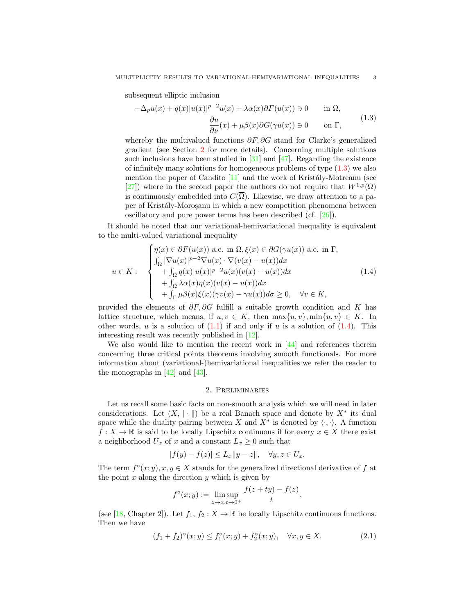subsequent elliptic inclusion

<span id="page-2-1"></span>
$$
-\Delta_p u(x) + q(x)|u(x)|^{p-2}u(x) + \lambda \alpha(x)\partial F(u(x)) \ni 0 \quad \text{in } \Omega,
$$
  

$$
\frac{\partial u}{\partial \nu}(x) + \mu \beta(x)\partial G(\gamma u(x)) \ni 0 \quad \text{on } \Gamma,
$$
 (1.3)

whereby the multivalued functions  $\partial F$ ,  $\partial G$  stand for Clarke's generalized gradient (see Section [2](#page-2-0) for more details). Concerning multiple solutions such inclusions have been studied in  $[31]$  and  $[47]$ . Regarding the existence of infinitely many solutions for homogeneous problems of type [\(1.3\)](#page-2-1) we also mention the paper of Candito  $[11]$  and the work of Kristály-Motreanu (see [\[27\]](#page-19-16)) where in the second paper the authors do not require that  $W^{1,p}(\Omega)$ is continuously embedded into  $C(\overline{\Omega})$ . Likewise, we draw attention to a paper of Kristály-Moroşanu in which a new competition phenomena between oscillatory and pure power terms has been described (cf. [\[26\]](#page-19-17)).

It should be noted that our variational-hemivariational inequality is equivalent to the multi-valued variational inequality

$$
u \in K: \begin{cases} \eta(x) \in \partial F(u(x)) \text{ a.e. in } \Omega, \xi(x) \in \partial G(\gamma u(x)) \text{ a.e. in } \Gamma, \\ \int_{\Omega} |\nabla u(x)|^{p-2} \nabla u(x) \cdot \nabla (v(x) - u(x)) dx \\ + \int_{\Omega} q(x) |u(x)|^{p-2} u(x) (v(x) - u(x)) dx \\ + \int_{\Omega} \lambda \alpha(x) \eta(x) (v(x) - u(x)) dx \\ + \int_{\Gamma} \mu \beta(x) \xi(x) (\gamma v(x) - \gamma u(x)) d\sigma \ge 0, \quad \forall v \in K, \end{cases}
$$
(1.4)

provided the elements of  $\partial F$ ,  $\partial G$  fulfill a suitable growth condition and K has lattice structure, which means, if  $u, v \in K$ , then  $\max\{u, v\}$ ,  $\min\{u, v\} \in K$ . In other words, u is a solution of  $(1.1)$  if and only if u is a solution of  $(1.4)$ . This interesting result was recently published in [\[12\]](#page-18-18).

We also would like to mention the recent work in  $[44]$  and references therein concerning three critical points theorems involving smooth functionals. For more information about (variational-)hemivariational inequalities we refer the reader to the monographs in  $[42]$  and  $[43]$ .

## 2. Preliminaries

<span id="page-2-0"></span>Let us recall some basic facts on non-smooth analysis which we will need in later considerations. Let  $(X, \|\cdot\|)$  be a real Banach space and denote by  $X^*$  its dual space while the duality pairing between X and  $X^*$  is denoted by  $\langle \cdot, \cdot \rangle$ . A function  $f: X \to \mathbb{R}$  is said to be locally Lipschitz continuous if for every  $x \in X$  there exist a neighborhood  $U_x$  of x and a constant  $L_x \geq 0$  such that

$$
|f(y) - f(z)| \le L_x \|y - z\|, \quad \forall y, z \in U_x.
$$

The term  $f^{\circ}(x; y), x, y \in X$  stands for the generalized directional derivative of f at the point  $x$  along the direction  $y$  which is given by

<span id="page-2-3"></span>
$$
f^{\circ}(x; y) := \limsup_{z \to x, t \to 0^{+}} \frac{f(z + ty) - f(z)}{t},
$$

(see [\[18,](#page-18-19) Chapter 2]). Let  $f_1, f_2 : X \to \mathbb{R}$  be locally Lipschitz continuous functions. Then we have

$$
(f_1 + f_2)^{\circ}(x; y) \le f_1^{\circ}(x; y) + f_2^{\circ}(x; y), \quad \forall x, y \in X. \tag{2.1}
$$

<span id="page-2-2"></span>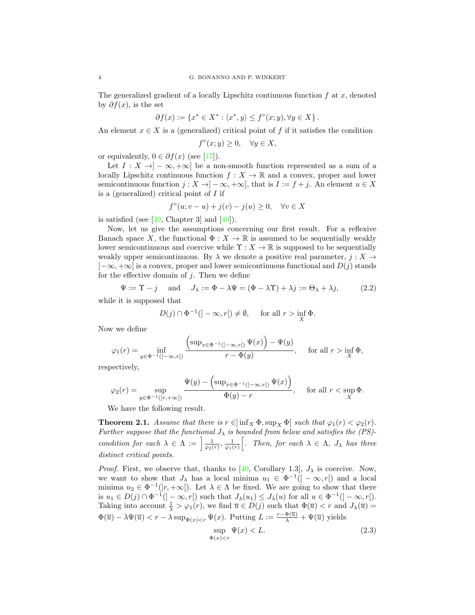The generalized gradient of a locally Lipschitz continuous function  $f$  at  $x$ , denoted by  $\partial f(x)$ , is the set

$$
\partial f(x):=\left\{x^*\in X^*: \langle x^*,y\rangle\leq f^\circ(x;y),\forall y\in X\right\}.
$$

An element  $x \in X$  is a (generalized) critical point of f if it satisfies the condition

$$
f^{\circ}(x; y) \ge 0, \quad \forall y \in X,
$$

or equivalently,  $0 \in \partial f(x)$  (see [\[17\]](#page-18-20)).

Let  $I: X \to ]-\infty, +\infty]$  be a non-smooth function represented as a sum of a locally Lipschitz continuous function  $f: X \to \mathbb{R}$  and a convex, proper and lower semicontinuous function  $j : X \to ]-\infty, +\infty]$ , that is  $I := f + j$ . An element  $u \in X$ is a (generalized) critical point of  $I$  if

$$
f^{\circ}(u; v - u) + j(v) - j(u) \ge 0, \quad \forall v \in X
$$

is satisfied (see  $[39,$  Chapter 3] and  $[40]$ ).

Now, let us give the assumptions concerning our first result. For a reflexive Banach space X, the functional  $\Phi: X \to \mathbb{R}$  is assumed to be sequentially weakly lower semicontinuous and coercive while  $\Upsilon : X \to \mathbb{R}$  is supposed to be sequentially weakly upper semicontinuous. By  $\lambda$  we denote a positive real parameter,  $j : X \to Y$  $[-\infty, +\infty]$  is a convex, proper and lower semicontinuous functional and  $D(i)$  stands for the effective domain of  $j$ . Then we define

<span id="page-3-2"></span>
$$
\Psi := \Upsilon - j \quad \text{and} \quad J_{\lambda} := \Phi - \lambda \Psi = (\Phi - \lambda \Upsilon) + \lambda j := \Theta_{\lambda} + \lambda j,
$$
 (2.2)

while it is supposed that

$$
D(j) \cap \Phi^{-1}(\mathcal{I} - \infty, r\mathcal{I}) \neq \emptyset, \quad \text{ for all } r > \inf_{X} \Phi.
$$

Now we define

$$
\varphi_1(r) = \inf_{y \in \Phi^{-1}(]-\infty, r[)} \frac{\left(\sup_{x \in \Phi^{-1}(]-\infty, r[)} \Psi(x)\right) - \Psi(y)}{r - \Phi(y)}, \quad \text{ for all } r > \inf_X \Phi,
$$

respectively,

$$
\varphi_2(r) = \sup_{y \in \Phi^{-1}([r, +\infty[)} \frac{\Psi(y) - \left(\sup_{x \in \Phi^{-1}(]-\infty, r]}\Psi(x)\right)}{\Phi(y) - r}, \quad \text{ for all } r < \sup_X \Phi.
$$

We have the following result.

<span id="page-3-1"></span>**Theorem 2.1.** Assume that there is  $r \in \left[\inf_{X} \Phi, \sup_{X} \Phi\right]$  such that  $\varphi_1(r) < \varphi_2(r)$ . Further suppose that the functional  $J_{\lambda}$  is bounded from below and satisfies the (PS)condition for each  $\lambda \in \Lambda := \left[\frac{1}{\varphi_2(r)}, \frac{1}{\varphi_1(r)}\right]$ . Then, for each  $\lambda \in \Lambda$ ,  $J_\lambda$  has three distinct critical points.

*Proof.* First, we observe that, thanks to [\[40,](#page-19-22) Corollary 1.3],  $J_{\lambda}$  is coercive. Now, we want to show that  $J_{\lambda}$  has a local minima  $u_1 \in \Phi^{-1}(|-\infty,r|)$  and a local minima  $u_2 \in \Phi^{-1}(|r, +\infty|)$ . Let  $\lambda \in \Lambda$  be fixed. We are going to show that there is  $u_1 \in D(j) \cap \Phi^{-1}(\{-\infty, r[\})$  such that  $J_\lambda(u_1) \leq J_\lambda(u)$  for all  $u \in \Phi^{-1}(\{-\infty, r[\).$ Taking into account  $\frac{1}{\lambda} > \varphi_1(r)$ , we find  $\overline{u} \in D(j)$  such that  $\Phi(\overline{u}) < r$  and  $J_\lambda(\overline{u}) =$  $\Phi(\overline{u}) - \lambda \Psi(\overline{u}) < r - \lambda \sup_{\Phi(x) < r} \Psi(x)$ . Putting  $L := \frac{r - \Phi(\overline{u})}{\lambda} + \Psi(\overline{u})$  yields

<span id="page-3-0"></span>
$$
\sup_{\Phi(x) < r} \Psi(x) < L. \tag{2.3}
$$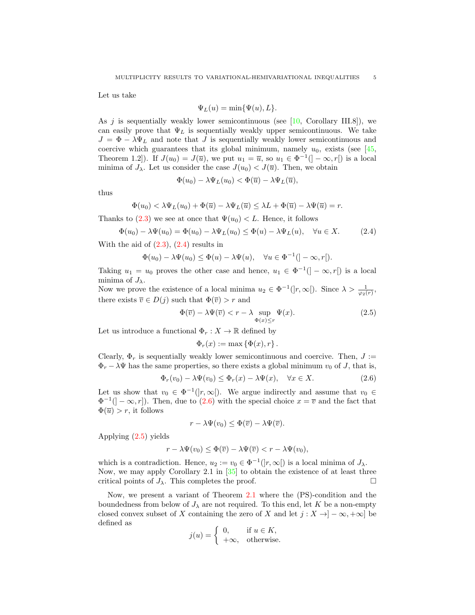Let us take

$$
\Psi_L(u) = \min{\{\Psi(u), L\}}.
$$

As  $j$  is sequentially weakly lower semicontinuous (see [\[10,](#page-18-21) Corollary III.8]), we can easily prove that  $\Psi_L$  is sequentially weakly upper semicontinuous. We take  $J = \Phi - \lambda \Psi_L$  and note that J is sequentially weakly lower semicontinuous and coercive which guarantees that its global minimum, namely  $u_0$ , exists (see [\[45,](#page-19-23) Theorem 1.2]). If  $J(u_0) = J(\overline{u})$ , we put  $u_1 = \overline{u}$ , so  $u_1 \in \Phi^{-1}([-\infty, r])$  is a local minima of  $J_{\lambda}$ . Let us consider the case  $J(u_0) < J(\overline{u})$ . Then, we obtain

<span id="page-4-0"></span>
$$
\Phi(u_0) - \lambda \Psi_L(u_0) < \Phi(\overline{u}) - \lambda \Psi_L(\overline{u}),
$$

thus

$$
\Phi(u_0) < \lambda \Psi_L(u_0) + \Phi(\overline{u}) - \lambda \Psi_L(\overline{u}) \leq \lambda L + \Phi(\overline{u}) - \lambda \Psi(\overline{u}) = r.
$$

Thanks to [\(2.3\)](#page-3-0) we see at once that  $\Psi(u_0) < L$ . Hence, it follows

$$
\Phi(u_0) - \lambda \Psi(u_0) = \Phi(u_0) - \lambda \Psi_L(u_0) \le \Phi(u) - \lambda \Psi_L(u), \quad \forall u \in X.
$$
 (2.4)

With the aid of  $(2.3)$ ,  $(2.4)$  results in

$$
\Phi(u_0) - \lambda \Psi(u_0) \le \Phi(u) - \lambda \Psi(u), \quad \forall u \in \Phi^{-1}(]-\infty, r[).
$$

Taking  $u_1 = u_0$  proves the other case and hence,  $u_1 \in \Phi^{-1}([-\infty, r])$  is a local minima of  $J_{\lambda}$ .

Now we prove the existence of a local minima  $u_2 \in \Phi^{-1}(|r,\infty|)$ . Since  $\lambda > \frac{1}{\varphi_2(r)}$ , there exists  $\overline{v} \in D(j)$  such that  $\Phi(\overline{v}) > r$  and

$$
\Phi(\overline{v}) - \lambda \Psi(\overline{v}) < r - \lambda \sup_{\Phi(x) \le r} \Psi(x). \tag{2.5}
$$

Let us introduce a functional  $\Phi_r : X \to \mathbb{R}$  defined by

<span id="page-4-2"></span><span id="page-4-1"></span>
$$
\Phi_r(x) := \max \left\{ \Phi(x), r \right\}.
$$

Clearly,  $\Phi_r$  is sequentially weakly lower semicontinuous and coercive. Then,  $J :=$  $\Phi_r - \lambda \Psi$  has the same properties, so there exists a global minimum  $v_0$  of J, that is,

$$
\Phi_r(v_0) - \lambda \Psi(v_0) \le \Phi_r(x) - \lambda \Psi(x), \quad \forall x \in X.
$$
\n(2.6)

Let us show that  $v_0 \in \Phi^{-1}([r,\infty])$ . We argue indirectly and assume that  $v_0 \in$  $\Phi^{-1}$ ( $]-\infty,r$ ). Then, due to [\(2.6\)](#page-4-1) with the special choice  $x=\overline{v}$  and the fact that  $\Phi(\overline{u}) > r$ , it follows

$$
r - \lambda \Psi(v_0) \le \Phi(\overline{v}) - \lambda \Psi(\overline{v}).
$$

Applying [\(2.5\)](#page-4-2) yields

$$
r - \lambda \Psi(v_0) \le \Phi(\overline{v}) - \lambda \Psi(\overline{v}) < r - \lambda \Psi(v_0),
$$

which is a contradiction. Hence,  $u_2 := v_0 \in \Phi^{-1}([r, \infty])$  is a local minima of  $J_\lambda$ . Now, we may apply Corollary 2.1 in [\[35\]](#page-19-6) to obtain the existence of at least three critical points of  $J_{\lambda}$ . This completes the proof.

Now, we present a variant of Theorem [2.1](#page-3-1) where the (PS)-condition and the boundedness from below of  $J_{\lambda}$  are not required. To this end, let K be a non-empty closed convex subset of X containing the zero of X and let  $j : X \to ]-\infty, +\infty]$  be defined as

$$
j(u) = \begin{cases} 0, & \text{if } u \in K, \\ +\infty, & \text{otherwise.} \end{cases}
$$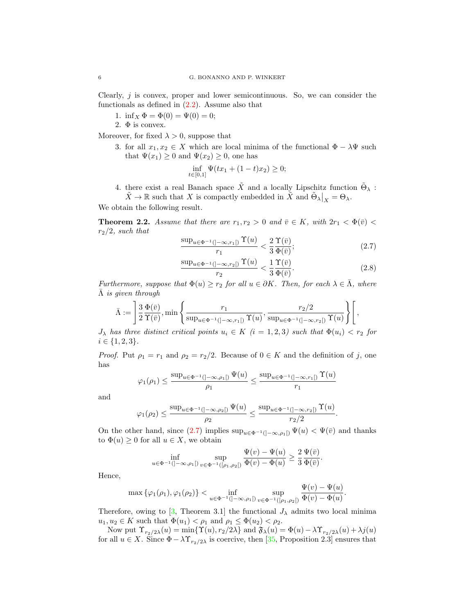Clearly,  $j$  is convex, proper and lower semicontinuous. So, we can consider the functionals as defined in  $(2.2)$ . Assume also that

1. inf<sub>X</sub>  $\Phi = \Phi(0) = \Psi(0) = 0;$ 

2.  $\Phi$  is convex.

Moreover, for fixed  $\lambda > 0$ , suppose that

3. for all  $x_1, x_2 \in X$  which are local minima of the functional  $\Phi - \lambda \Psi$  such that  $\Psi(x_1) \geq 0$  and  $\Psi(x_2) \geq 0$ , one has

$$
\inf_{t \in [0,1]} \Psi(tx_1 + (1-t)x_2) \ge 0;
$$

4. there exist a real Banach space  $\tilde{X}$  and a locally Lipschitz function  $\tilde{\Theta}_{\lambda}$ :  $\tilde{X} \to \mathbb{R}$  such that X is compactly embedded in  $\tilde{X}$  and  $\tilde{\Theta}_{\lambda} \big|_{X} = \Theta_{\lambda}$ .

We obtain the following result.

<span id="page-5-1"></span>**Theorem 2.2.** Assume that there are  $r_1, r_2 > 0$  and  $\bar{v} \in K$ , with  $2r_1 < \Phi(\bar{v})$  $r_2/2$ , such that

<span id="page-5-0"></span>
$$
\frac{\sup_{u \in \Phi^{-1}(]-\infty, r_1[)} \Upsilon(u)}{r_1} < \frac{2}{3} \frac{\Upsilon(\bar{v})}{\Phi(\bar{v})};\tag{2.7}
$$

<span id="page-5-2"></span>
$$
\frac{\sup_{u \in \Phi^{-1}(]-\infty, r_2[)} \Upsilon(u)}{r_2} < \frac{1}{3} \frac{\Upsilon(\bar{v})}{\Phi(\bar{v})}.\tag{2.8}
$$

Furthermore, suppose that  $\Phi(u) \geq r_2$  for all  $u \in \partial K$ . Then, for each  $\lambda \in \overline{\Lambda}$ , where  $\overline{\Lambda}$  is given through

$$
\bar{\Lambda} := \left[ \frac{3}{2} \frac{\Phi(\bar{v})}{\Upsilon(\bar{v})}, \min \left\{ \frac{r_1}{\sup_{u \in \Phi^{-1}(]-\infty, r_1[)} \Upsilon(u)}, \frac{r_2/2}{\sup_{u \in \Phi^{-1}(]-\infty, r_2[)} \Upsilon(u)} \right\} \right],
$$

 $J_{\lambda}$  has three distinct critical points  $u_i \in K$   $(i = 1, 2, 3)$  such that  $\Phi(u_i) < r_2$  for  $i \in \{1, 2, 3\}.$ 

*Proof.* Put  $\rho_1 = r_1$  and  $\rho_2 = r_2/2$ . Because of  $0 \in K$  and the definition of j, one has

$$
\varphi_1(\rho_1) \le \frac{\sup_{u \in \Phi^{-1}(]-\infty, \rho_1[)} \Psi(u)}{\rho_1} \le \frac{\sup_{u \in \Phi^{-1}(]-\infty, r_1[)} \Upsilon(u)}{r_1}
$$

and

$$
\varphi_1(\rho_2) \le \frac{\sup_{u \in \Phi^{-1}(]-\infty, \rho_2[)} \Psi(u)}{\rho_2} \le \frac{\sup_{u \in \Phi^{-1}(]-\infty, r_2[)} \Upsilon(u)}{r_2/2}.
$$

On the other hand, since [\(2.7\)](#page-5-0) implies  $\sup_{u \in \Phi^{-1}(\ ]-\infty,\rho_1[)} \Psi(u) < \Psi(\bar{v})$  and thanks to  $\Phi(u) \geq 0$  for all  $u \in X$ , we obtain

$$
\inf_{u \in \Phi^{-1}(]-\infty, \rho_1[)} \sup_{v \in \Phi^{-1}([\rho_1, \rho_2[)} \frac{\Psi(v) - \Psi(u)}{\Phi(v) - \Phi(u)} \ge \frac{2}{3} \frac{\Psi(\bar{v})}{\Phi(\bar{v})}.
$$

Hence,

$$
\max \{\varphi_1(\rho_1), \varphi_1(\rho_2)\} < \inf_{u \in \Phi^{-1}(]-\infty, \rho_1[)} \sup_{v \in \Phi^{-1}([\rho_1, \rho_2[)} \frac{\Psi(v) - \Psi(u)}{\Phi(v) - \Phi(u)}.
$$

Therefore, owing to [\[3,](#page-18-3) Theorem 3.1] the functional  $J_{\lambda}$  admits two local minima  $u_1, u_2 \in K$  such that  $\Phi(u_1) < \rho_1$  and  $\rho_1 \leq \Phi(u_2) < \rho_2$ .

Now put  $\Upsilon_{r_2/2\lambda}(u) = \min{\{\Upsilon(u), r_2/2\lambda\}}$  and  $\mathfrak{F}_{\lambda}(u) = \Phi(u) - \lambda \Upsilon_{r_2/2\lambda}(u) + \lambda j(u)$ for all  $u \in X$ . Since  $\Phi - \lambda \Upsilon_{r_2/2\lambda}$  is coercive, then [\[35,](#page-19-6) Proposition 2.3] ensures that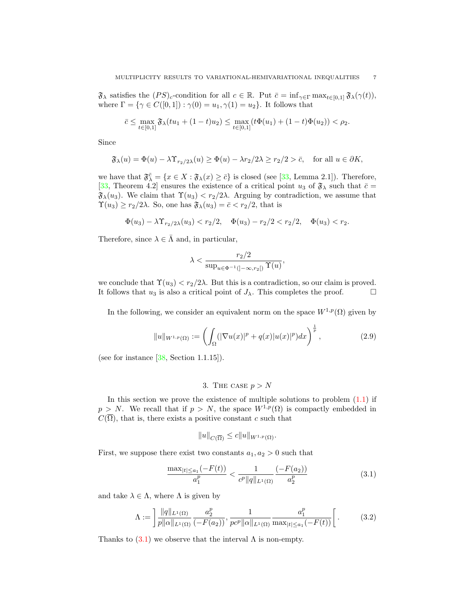$\mathfrak{F}_{\lambda}$  satisfies the  $(PS)_{c}$ -condition for all  $c \in \mathbb{R}$ . Put  $\bar{c} = \inf_{\gamma \in \Gamma} \max_{t \in [0,1]} \mathfrak{F}_{\lambda}(\gamma(t)),$ where  $\Gamma = \{ \gamma \in C([0,1]) : \gamma(0) = u_1, \gamma(1) = u_2 \}.$  It follows that

$$
\bar{c} \le \max_{t \in [0,1]} \mathfrak{F}_{\lambda}(tu_1 + (1-t)u_2) \le \max_{t \in [0,1]} (t\Phi(u_1) + (1-t)\Phi(u_2)) < \rho_2.
$$

Since

$$
\mathfrak{F}_{\lambda}(u) = \Phi(u) - \lambda \Upsilon_{r_2/2\lambda}(u) \ge \Phi(u) - \lambda r_2/2\lambda \ge r_2/2 > \bar{c}, \quad \text{for all } u \in \partial K,
$$

we have that  $\mathfrak{F}_{\lambda}^{\overline{c}} = \{x \in X : \mathfrak{F}_{\lambda}(x) \geq \overline{c}\}\$ is closed (see [\[33,](#page-19-24) Lemma 2.1]). Therefore, [\[33,](#page-19-24) Theorem 4.2] ensures the existence of a critical point  $u_3$  of  $\mathfrak{F}_{\lambda}$  such that  $\bar{c} =$  $\mathfrak{F}_{\lambda}(u_3)$ . We claim that  $\Upsilon(u_3) < r_2/2\lambda$ . Arguing by contradiction, we assume that  $\Upsilon(u_3) \geq r_2/2\lambda$ . So, one has  $\mathfrak{F}_{\lambda}(u_3) = \overline{c} < r_2/2$ , that is

$$
\Phi(u_3) - \lambda \Upsilon_{r_2/2\lambda}(u_3) < r_2/2, \quad \Phi(u_3) - r_2/2 < r_2/2, \quad \Phi(u_3) < r_2.
$$

Therefore, since  $\lambda \in \overline{\Lambda}$  and, in particular,

$$
\lambda < \frac{r_2/2}{\sup_{u \in \Phi^{-1}(\left]-\infty, r_2\right[)} \Upsilon(u)},
$$

we conclude that  $\Upsilon(u_3) < r_2/2\lambda$ . But this is a contradiction, so our claim is proved. It follows that  $u_3$  is also a critical point of  $J_\lambda$ . This completes the proof.  $\Box$ 

In the following, we consider an equivalent norm on the space  $W^{1,p}(\Omega)$  given by

$$
||u||_{W^{1,p}(\Omega)} := \left(\int_{\Omega} (|\nabla u(x)|^p + q(x)|u(x)|^p) dx\right)^{\frac{1}{p}},\tag{2.9}
$$

(see for instance  $[38, \text{Section 1.1.15}].$ 

## <span id="page-6-3"></span>3. THE CASE  $p > N$

<span id="page-6-0"></span>In this section we prove the existence of multiple solutions to problem  $(1.1)$  if  $p > N$ . We recall that if  $p > N$ , the space  $W^{1,p}(\Omega)$  is compactly embedded in  $C(\overline{\Omega})$ , that is, there exists a positive constant c such that

<span id="page-6-2"></span><span id="page-6-1"></span>
$$
||u||_{C(\overline{\Omega})} \leq c||u||_{W^{1,p}(\Omega)}.
$$

First, we suppose there exist two constants  $a_1, a_2 > 0$  such that

$$
\frac{\max_{|t| \le a_1} (-F(t))}{a_1^p} < \frac{1}{c^p \|q\|_{L^1(\Omega)}} \frac{(-F(a_2))}{a_2^p} \tag{3.1}
$$

and take  $\lambda \in \Lambda$ , where  $\Lambda$  is given by

$$
\Lambda := \left] \frac{\|q\|_{L^{1}(\Omega)}}{p \| \alpha \|_{L^{1}(\Omega)}} \frac{a_2^p}{(-F(a_2))}, \frac{1}{p c^p \| \alpha \|_{L^{1}(\Omega)}} \frac{a_1^p}{\max_{|t| \le a_1} (-F(t))} \right[.
$$
 (3.2)

Thanks to  $(3.1)$  we observe that the interval  $\Lambda$  is non-empty.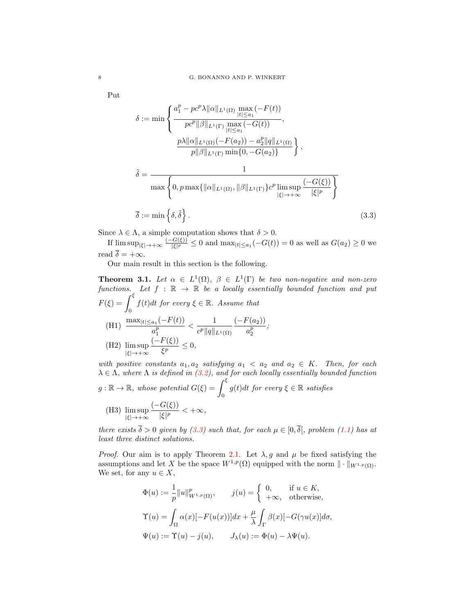Put

<span id="page-7-1"></span>
$$
\delta := \min \left\{ \frac{a_1^p - pc^p \lambda ||\alpha||_{L^1(\Omega)} \max_{|t| \le a_1} (-F(t))}{pc^p ||\beta||_{L^1(\Gamma)} \max_{|t| \le a_1} (-G(t))}, \frac{p\lambda ||\alpha||_{L^1(\Omega)} (-F(a_2)) - a_2^p ||q||_{L^1(\Omega)}}{p ||\beta||_{L^1(\Gamma)} \min\{0, -G(a_2)\}} \right\},\
$$

$$
\tilde{\delta} = \frac{1}{\max \left\{ 0, p \max\{ ||\alpha||_{L^1(\Omega)}, ||\beta||_{L^1(\Gamma)} \} c^p \limsup_{|\xi| \to +\infty} \frac{(-G(\xi))}{|\xi|^p} \right\}}
$$

$$
\overline{\delta} := \min \left\{ \delta, \tilde{\delta} \right\}. \tag{3.3}
$$

Since  $\lambda \in \Lambda$ , a simple computation shows that  $\delta > 0$ .

If  $\limsup_{|\xi|\to+\infty} \frac{(-G(\xi))}{|\xi|^p}$  $\frac{G(\xi)}{|\xi|^p} \leq 0$  and  $\max_{|t| \leq a_1} (-G(t)) = 0$  as well as  $G(a_2) \geq 0$  we read  $\overline{\delta} = +\infty$ .

Our main result in this section is the following.

<span id="page-7-0"></span>**Theorem 3.1.** Let  $\alpha \in L^1(\Omega)$ ,  $\beta \in L^1(\Gamma)$  be two non-negative and non-zero functions. Let  $f : \mathbb{R} \to \mathbb{R}$  be a locally essentially bounded function and put  $F(\xi) = \int^{\xi}$ 0  $f(t)dt$  for every  $\xi \in \mathbb{R}$ . Assume that (H1)  $\frac{\max_{|t| \le a_1} (-F(t))}{n}$  $a_1^p$  $\lt \frac{1}{\sqrt{1-\frac{1}{2}}}$  $c^p ||q||_{L^1(\Omega)}$  $(-F(a_2))$  $a_2^p$ ; (H2) lim sup |ξ|→+∞  $(-F(\xi))$  $\frac{\zeta(s)}{\zeta^p} \leq 0,$ with positive constants  $a_1, a_2$  satisfying  $a_1 < a_2$  and  $a_2 \in K$ . Then, for each

 $\lambda \in \Lambda$ , where  $\Lambda$  is defined in [\(3.2\)](#page-6-2), and for each locally essentially bounded function  $g : \mathbb{R} \to \mathbb{R}$ , whose potential  $G(\xi) = \int^{\xi}$ 0  $g(t)dt$  for every  $\xi \in \mathbb{R}$  satisfies (H3) lim sup |ξ|→+∞  $(-G(\xi))$  $\frac{\mathcal{S}(S)}{|\xi|^p} < +\infty,$ 

there exists  $\overline{\delta} > 0$  given by [\(3.3\)](#page-7-1) such that, for each  $\mu \in [0, \overline{\delta}]$ , problem [\(1.1\)](#page-0-0) has at least three distinct solutions.

*Proof.* Our aim is to apply Theorem [2.1.](#page-3-1) Let  $\lambda$ , g and  $\mu$  be fixed satisfying the assumptions and let X be the space  $W^{1,p}(\Omega)$  equipped with the norm  $\|\cdot\|_{W^{1,p}(\Omega)}$ . We set, for any  $u \in X$ ,

$$
\Phi(u) := \frac{1}{p} ||u||_{W^{1,p}(\Omega)}^p, \qquad j(u) = \begin{cases} 0, & \text{if } u \in K, \\ +\infty, & \text{otherwise,} \end{cases}
$$

$$
\Upsilon(u) = \int_{\Omega} \alpha(x) [-F(u(x))] dx + \frac{\mu}{\lambda} \int_{\Gamma} \beta(x) [-G(\gamma u(x)] d\sigma,
$$

$$
\Psi(u) := \Upsilon(u) - j(u), \qquad J_{\lambda}(u) := \Phi(u) - \lambda \Psi(u).
$$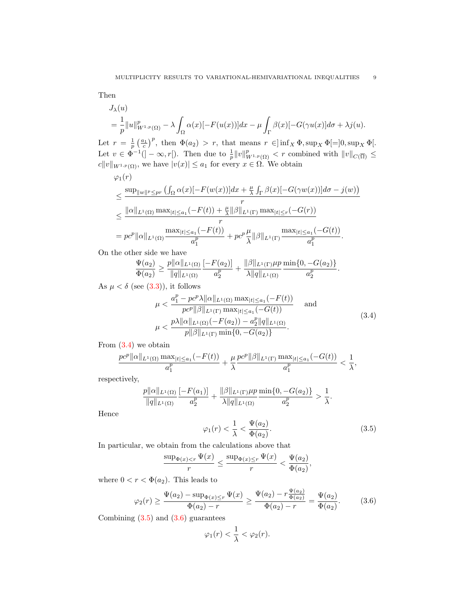Then

$$
J_{\lambda}(u)
$$
  
=  $\frac{1}{p} ||u||_{W^{1,p}(\Omega)}^p - \lambda \int_{\Omega} \alpha(x) [-F(u(x))] dx - \mu \int_{\Gamma} \beta(x) [-G(\gamma u(x)] d\sigma + \lambda j(u)].$ 

Let  $r = \frac{1}{p} \left( \frac{a_1}{c} \right)^p$ , then  $\Phi(a_2) > r$ , that means  $r \in ]\inf_X \Phi, \sup_X \Phi = ]0, \sup_X \Phi].$ Let  $v \in \Phi^{-1}([-\infty, r])$ . Then due to  $\frac{1}{p} ||v||_{W^{1,p}(\Omega)}^p < r$  combined with  $||v||_{C(\overline{\Omega})} \leq$  $c||v||_{W^{1,p}(\Omega)}$ , we have  $|v(x)| \le a_1$  for every  $x \in \Omega$ . We obtain

$$
\varphi_1(r)
$$
\n
$$
\leq \frac{\sup_{\|w\|^{p} \leq pr} \left( \int_{\Omega} \alpha(x) [-F(w(x))] dx + \frac{\mu}{\lambda} \int_{\Gamma} \beta(x) [-G(\gamma w(x))] d\sigma - j(w) \right)}{r}
$$
\n
$$
\leq \frac{\| \alpha \|_{L^1(\Omega)} \max_{|t| \leq a_1} (-F(t)) + \frac{\mu}{\lambda} \| \beta \|_{L^1(\Gamma)} \max_{|t| \leq r} (-G(r))}{r}
$$
\n
$$
= pc^p \| \alpha \|_{L^1(\Omega)} \frac{\max_{|t| \leq a_1} (-F(t))}{a_1^p} + pc^p \frac{\mu}{\lambda} \| \beta \|_{L^1(\Gamma)} \frac{\max_{|t| \leq a_1} (-G(t))}{a_1^p}.
$$

On the other side we have

$$
\frac{\Psi(a_2)}{\Phi(a_2)} \ge \frac{p||\alpha||_{L^1(\Omega)}}{||q||_{L^1(\Omega)}} \frac{[-F(a_2)]}{a_2^p} + \frac{||\beta||_{L^1(\Gamma)}\mu p}{\lambda ||q||_{L^1(\Omega)}} \frac{\min\{0, -G(a_2)\}}{a_2^p}.
$$

As  $\mu < \delta$  (see [\(3.3\)](#page-7-1)), it follows

$$
\mu < \frac{a_1^p - pc^p \lambda \| \alpha \|_{L^1(\Omega)} \max_{|t| \le a_1} (-F(t))}{pc^p \| \beta \|_{L^1(\Gamma)} \max_{|t| \le a_1} (-G(t))} \quad \text{and}
$$
\n
$$
\mu < \frac{p \lambda \| \alpha \|_{L^1(\Omega)} (-F(a_2)) - a_2^p \| q \|_{L^1(\Omega)}}{p \| \beta \|_{L^1(\Gamma)} \min\{0, -G(a_2)\}}.
$$
\n
$$
(3.4)
$$

From  $(3.4)$  we obtain

$$
\frac{pc^p||\alpha||_{L^1(\Omega)}\max_{|t|\le a_1}(-F(t))}{a_1^p} + \frac{\mu}{\lambda}\frac{pc^p||\beta||_{L^1(\Gamma)}\max_{|t|\le a_1}(-G(t))}{a_1^p} < \frac{1}{\lambda},
$$

respectively,

$$
\frac{p||\alpha||_{L^1(\Omega)}}{||q||_{L^1(\Omega)}} \frac{[-F(a_1)]}{a_2^p} + \frac{||\beta||_{L^1(\Gamma)}\mu p}{\lambda ||q||_{L^1(\Omega)}} \frac{\min\{0, -G(a_2)\}}{a_2^p} > \frac{1}{\lambda}.
$$

Hence

<span id="page-8-1"></span><span id="page-8-0"></span>
$$
\varphi_1(r) < \frac{1}{\lambda} < \frac{\Psi(a_2)}{\Phi(a_2)}.\tag{3.5}
$$

In particular, we obtain from the calculations above that

$$
\frac{\sup_{\Phi(x) < r} \Psi(x)}{r} \le \frac{\sup_{\Phi(x) \le r} \Psi(x)}{r} < \frac{\Psi(a_2)}{\Phi(a_2)},
$$

where  $0 < r < \Phi(a_2)$ . This leads to

$$
\varphi_2(r) \ge \frac{\Psi(a_2) - \sup_{\Phi(x) \le r} \Psi(x)}{\Phi(a_2) - r} \ge \frac{\Psi(a_2) - r \frac{\Psi(a_2)}{\Phi(a_2)}}{\Phi(a_2) - r} = \frac{\Psi(a_2)}{\Phi(a_2)}.
$$
(3.6)

Combining  $(3.5)$  and  $(3.6)$  guarantees

<span id="page-8-2"></span>
$$
\varphi_1(r) < \frac{1}{\lambda} < \varphi_2(r).
$$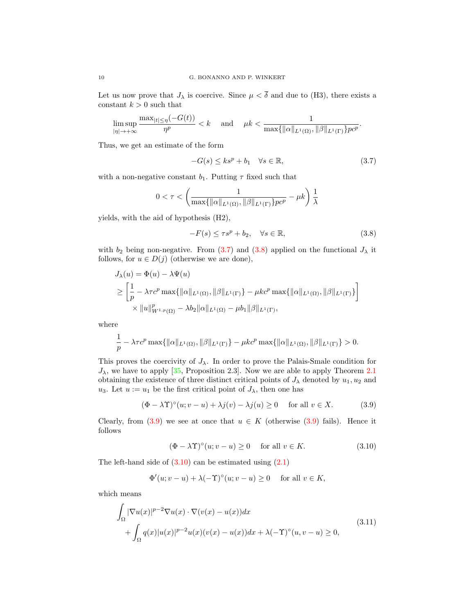Let us now prove that  $J_{\lambda}$  is coercive. Since  $\mu < \overline{\delta}$  and due to (H3), there exists a constant  $k > 0$  such that

$$
\limsup_{|\eta|\to+\infty}\frac{\max_{|t|\leq \eta}(-G(t))}{\eta^p}
$$

Thus, we get an estimate of the form

<span id="page-9-0"></span>
$$
-G(s) \le ks^p + b_1 \quad \forall s \in \mathbb{R},\tag{3.7}
$$

with a non-negative constant  $b_1$ . Putting  $\tau$  fixed such that

$$
0 < \tau < \left(\frac{1}{\max\{\|\alpha\|_{L^1(\Omega)}, \|\beta\|_{L^1(\Gamma)}\} p c^p} - \mu k\right) \frac{1}{\lambda}
$$

yields, with the aid of hypothesis (H2),

<span id="page-9-1"></span>
$$
-F(s) \le \tau s^p + b_2, \quad \forall s \in \mathbb{R}, \tag{3.8}
$$

with  $b_2$  being non-negative. From [\(3.7\)](#page-9-0) and [\(3.8\)](#page-9-1) applied on the functional  $J_\lambda$  it follows, for  $u \in D(j)$  (otherwise we are done),

$$
J_{\lambda}(u) = \Phi(u) - \lambda \Psi(u)
$$
  
\n
$$
\geq \left[ \frac{1}{p} - \lambda \tau c^{p} \max\{ ||\alpha||_{L^{1}(\Omega)}, ||\beta||_{L^{1}(\Gamma)} \} - \mu k c^{p} \max\{ ||\alpha||_{L^{1}(\Omega)}, ||\beta||_{L^{1}(\Gamma)} \} \right]
$$
  
\n
$$
\times ||u||_{W^{1,p}(\Omega)}^{p} - \lambda b_{2} ||\alpha||_{L^{1}(\Omega)} - \mu b_{1} ||\beta||_{L^{1}(\Gamma)},
$$

where

$$
\frac{1}{p} - \lambda \tau c^p \max\{\|\alpha\|_{L^1(\Omega)}, \|\beta\|_{L^1(\Gamma)}\} - \mu k c^p \max\{\|\alpha\|_{L^1(\Omega)}, \|\beta\|_{L^1(\Gamma)}\} > 0.
$$

This proves the coercivity of  $J_{\lambda}$ . In order to prove the Palais-Smale condition for  $J_{\lambda}$ , we have to apply [\[35,](#page-19-6) Proposition 2.3]. Now we are able to apply Theorem [2.1](#page-3-1) obtaining the existence of three distinct critical points of  $J_{\lambda}$  denoted by  $u_1, u_2$  and u<sub>3</sub>. Let  $u := u_1$  be the first critical point of  $J_{\lambda}$ , then one has

$$
(\Phi - \lambda \Upsilon)^{\circ}(u; v - u) + \lambda j(v) - \lambda j(u) \ge 0 \quad \text{ for all } v \in X. \tag{3.9}
$$

Clearly, from [\(3.9\)](#page-9-2) we see at once that  $u \in K$  (otherwise (3.9) fails). Hence it follows

<span id="page-9-4"></span><span id="page-9-3"></span><span id="page-9-2"></span>
$$
(\Phi - \lambda \Upsilon)^{\circ}(u; v - u) \ge 0 \quad \text{for all } v \in K. \tag{3.10}
$$

The left-hand side of  $(3.10)$  can be estimated using  $(2.1)$ 

$$
\Phi'(u; v - u) + \lambda (-\Upsilon)^{\circ}(u; v - u) \ge 0 \quad \text{ for all } v \in K,
$$

which means

$$
\int_{\Omega} |\nabla u(x)|^{p-2} \nabla u(x) \cdot \nabla (v(x) - u(x)) dx \n+ \int_{\Omega} q(x) |u(x)|^{p-2} u(x) (v(x) - u(x)) dx + \lambda (-\Upsilon)^{\circ} (u, v - u) \ge 0,
$$
\n(3.11)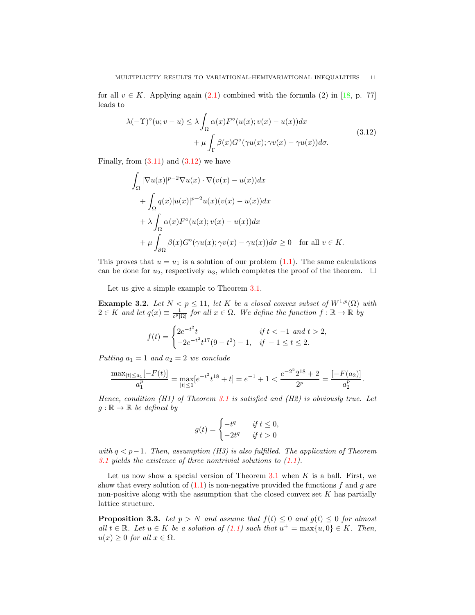for all  $v \in K$ . Applying again [\(2.1\)](#page-2-3) combined with the formula (2) in [\[18,](#page-18-19) p. 77] leads to

$$
\lambda(-\Upsilon)^{\circ}(u;v-u) \leq \lambda \int_{\Omega} \alpha(x) F^{\circ}(u(x);v(x)-u(x)) dx + \mu \int_{\Gamma} \beta(x) G^{\circ}(\gamma u(x); \gamma v(x)-\gamma u(x)) d\sigma.
$$
\n(3.12)

Finally, from  $(3.11)$  and  $(3.12)$  we have

<span id="page-10-0"></span>
$$
\int_{\Omega} |\nabla u(x)|^{p-2} \nabla u(x) \cdot \nabla (v(x) - u(x)) dx
$$
  
+ 
$$
\int_{\Omega} q(x)|u(x)|^{p-2} u(x)(v(x) - u(x)) dx
$$
  
+ 
$$
\lambda \int_{\Omega} \alpha(x) F^{\circ}(u(x); v(x) - u(x)) dx
$$
  
+ 
$$
\mu \int_{\partial \Omega} \beta(x) G^{\circ}(\gamma u(x); \gamma v(x) - \gamma u(x)) d\sigma \ge 0 \text{ for all } v \in K.
$$

This proves that  $u = u_1$  is a solution of our problem [\(1.1\)](#page-0-0). The same calculations can be done for  $u_2$ , respectively  $u_3$ , which completes the proof of the theorem.  $\Box$ 

Let us give a simple example to Theorem [3.1.](#page-7-0)

**Example 3.2.** Let  $N < p \le 11$ , let K be a closed convex subset of  $W^{1,p}(\Omega)$  with  $2 \in K$  and let  $q(x) \equiv \frac{1}{c^p |\Omega|}$  for all  $x \in \Omega$ . We define the function  $f : \mathbb{R} \to \mathbb{R}$  by

$$
f(t) = \begin{cases} 2e^{-t^2}t & \text{if } t < -1 \text{ and } t > 2, \\ -2e^{-t^2}t^{17}(9-t^2) - 1, & \text{if } -1 \le t \le 2. \end{cases}
$$

Putting  $a_1 = 1$  and  $a_2 = 2$  we conclude

$$
\frac{\max_{|t|\leq a_1}[-F(t)]}{a_1^p} = \max_{|t|\leq 1}[e^{-t^2}t^{18} + t] = e^{-1} + 1 < \frac{e^{-2^2}2^{18} + 2}{2^p} = \frac{[-F(a_2)]}{a_2^p}.
$$

Hence, condition (H1) of Theorem [3.1](#page-7-0) is satisfied and (H2) is obviously true. Let  $g : \mathbb{R} \to \mathbb{R}$  be defined by

$$
g(t) = \begin{cases} -t^q & \text{if } t \le 0, \\ -2t^q & \text{if } t > 0 \end{cases}
$$

with  $q < p-1$ . Then, assumption (H3) is also fulfilled. The application of Theorem [3.1](#page-7-0) yields the existence of three nontrivial solutions to  $(1.1)$ .

Let us now show a special version of Theorem [3.1](#page-7-0) when  $K$  is a ball. First, we show that every solution of  $(1.1)$  is non-negative provided the functions f and g are non-positive along with the assumption that the closed convex set  $K$  has partially lattice structure.

<span id="page-10-1"></span>**Proposition 3.3.** Let  $p > N$  and assume that  $f(t) \leq 0$  and  $g(t) \leq 0$  for almost all  $t \in \mathbb{R}$ . Let  $u \in K$  be a solution of  $(1.1)$  such that  $u^+ = \max\{u, 0\} \in K$ . Then,  $u(x) \geq 0$  for all  $x \in \Omega$ .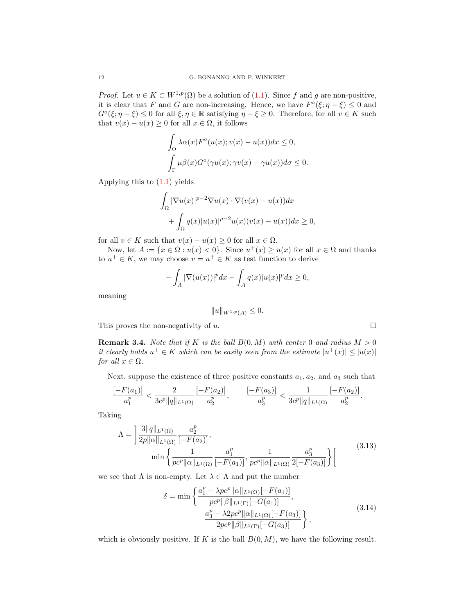*Proof.* Let  $u \in K \subset W^{1,p}(\Omega)$  be a solution of  $(1.1)$ . Since f and g are non-positive, it is clear that F and G are non-increasing. Hence, we have  $F^{\circ}(\xi; \eta - \xi) \leq 0$  and  $G^{\circ}(\xi; \eta - \xi) \leq 0$  for all  $\xi, \eta \in \mathbb{R}$  satisfying  $\eta - \xi \geq 0$ . Therefore, for all  $v \in K$  such that  $v(x) - u(x) \geq 0$  for all  $x \in \Omega$ , it follows

$$
\int_{\Omega} \lambda \alpha(x) F^{\circ}(u(x); v(x) - u(x)) dx \le 0,
$$
  

$$
\int_{\Gamma} \mu \beta(x) G^{\circ}(\gamma u(x); \gamma v(x) - \gamma u(x)) d\sigma \le 0.
$$

Applying this to [\(1.1\)](#page-0-0) yields

$$
\int_{\Omega} |\nabla u(x)|^{p-2} \nabla u(x) \cdot \nabla (v(x) - u(x)) dx
$$
  
+ 
$$
\int_{\Omega} q(x) |u(x)|^{p-2} u(x) (v(x) - u(x)) dx \ge 0,
$$

for all  $v \in K$  such that  $v(x) - u(x) \geq 0$  for all  $x \in \Omega$ .

Now, let  $A := \{x \in \Omega : u(x) < 0\}$ . Since  $u^+(x) \ge u(x)$  for all  $x \in \Omega$  and thanks to  $u^+ \in K$ , we may choose  $v = u^+ \in K$  as test function to derive

$$
-\int_A |\nabla(u(x))|^p dx - \int_A q(x)|u(x)|^p dx \ge 0,
$$

meaning

$$
||u||_{W^{1,p}(A)} \leq 0.
$$

This proves the non-negativity of  $u$ .

<span id="page-11-2"></span>**Remark 3.4.** Note that if K is the ball  $B(0, M)$  with center 0 and radius  $M > 0$ it clearly holds  $u^+ \in K$  which can be easily seen from the estimate  $|u^+(x)| \leq |u(x)|$ for all  $x \in \Omega$ .

Next, suppose the existence of three positive constants  $a_1, a_2$ , and  $a_3$  such that

$$
\frac{[-F(a_1)]}{a_1^p} < \frac{2}{3c^p \|q\|_{L^1(\Omega)}} \frac{[-F(a_2)]}{a_2^p}, \qquad \frac{[-F(a_3)]}{a_3^p} < \frac{1}{3c^p \|q\|_{L^1(\Omega)}} \frac{[-F(a_2)]}{a_2^p}.
$$

Taking

$$
\Lambda = \left] \frac{3||q||_{L^{1}(\Omega)}}{2p||\alpha||_{L^{1}(\Omega)}} \frac{a_{2}^{p}}{[-F(a_{2})]},
$$
  

$$
\min \left\{ \frac{1}{pc^{p}||\alpha||_{L^{1}(\Omega)}} \frac{a_{1}^{p}}{[-F(a_{1})]}, \frac{1}{pc^{p}||\alpha||_{L^{1}(\Omega)}} \frac{a_{3}^{p}}{2[-F(a_{3})]} \right\} \right[
$$
(3.13)

we see that  $\Lambda$  is non-empty. Let  $\lambda \in \Lambda$  and put the number

$$
\delta = \min \left\{ \frac{a_1^p - \lambda pc^p ||\alpha||_{L^1(\Omega)} [-F(a_1)]}{pc^p ||\beta||_{L^1(\Gamma)} [-G(a_1)]}, \frac{a_3^p - \lambda 2pc^p ||\alpha||_{L^1(\Omega)} [-F(a_3)]}{2pc^p ||\beta||_{L^1(\Gamma)} [-G(a_3)]} \right\},
$$
\n(3.14)

which is obviously positive. If K is the ball  $B(0, M)$ , we have the following result.

<span id="page-11-1"></span><span id="page-11-0"></span>
$$
\qquad \qquad \Box
$$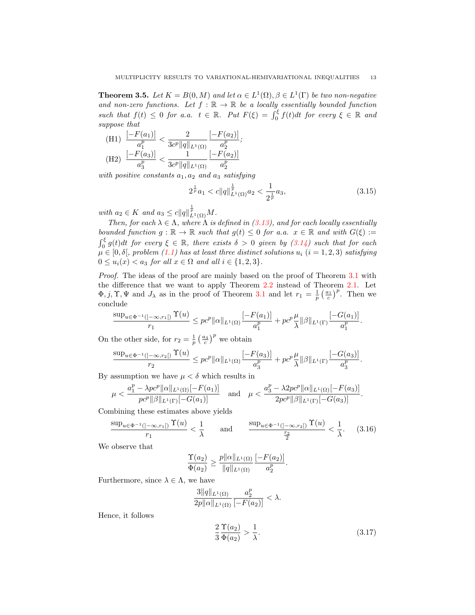<span id="page-12-3"></span>**Theorem 3.5.** Let  $K = B(0, M)$  and let  $\alpha \in L^1(\Omega), \beta \in L^1(\Gamma)$  be two non-negative and non-zero functions. Let  $f : \mathbb{R} \to \mathbb{R}$  be a locally essentially bounded function such that  $f(t) \leq 0$  for a.a.  $t \in \mathbb{R}$ . Put  $F(\xi) = \int_0^{\xi} f(t) dt$  for every  $\xi \in \mathbb{R}$  and suppose that

(H1) 
$$
\frac{[-F(a_1)]}{a_1^p} < \frac{2}{3c^p ||q||_{L^1(\Omega)}} \frac{[-F(a_2)]}{a_2^p};
$$
  
(H2) 
$$
\frac{[-F(a_3)]}{a_3^p} < \frac{1}{3c^p ||q||_{L^1(\Omega)}} \frac{[-F(a_2)]}{a_2^p}
$$

with positive constants  $a_1, a_2$  and  $a_3$  satisfying

<span id="page-12-2"></span>
$$
2^{\frac{1}{p}}a_1 < c \|q\|_{L^1(\Omega)}^{\frac{1}{p}}a_2 < \frac{1}{2^{\frac{1}{p}}}a_3,\tag{3.15}
$$

with  $a_2 \in K$  and  $a_3 \leq c ||q||_{L^1(\Omega)}^{\frac{1}{p}} M$ .

Then, for each  $\lambda \in \Lambda$ , where  $\Lambda$  is defined in [\(3.13\)](#page-11-0), and for each locally essentially bounded function  $g : \mathbb{R} \to \mathbb{R}$  such that  $g(t) \leq 0$  for a.a.  $x \in \mathbb{R}$  and with  $G(\xi) :=$  $\int_0^{\xi} g(t)dt$  for every  $\xi \in \mathbb{R}$ , there exists  $\delta > 0$  given by  $(3.14)$  such that for each  $\mu \in [0,\delta[,$  problem  $(1.1)$  has at least three distinct solutions  $u_i$   $(i=1,2,3)$  satisfying  $0 \le u_i(x) < a_3$  for all  $x \in \Omega$  and all  $i \in \{1,2,3\}.$ 

Proof. The ideas of the proof are mainly based on the proof of Theorem [3.1](#page-7-0) with the difference that we want to apply Theorem [2.2](#page-5-1) instead of Theorem [2.1.](#page-3-1) Let  $\Phi$ , j,  $\Upsilon$ ,  $\Psi$  and  $J_{\lambda}$  as in the proof of Theorem [3.1](#page-7-0) and let  $r_1 = \frac{1}{p} \left( \frac{a_1}{c} \right)^p$ . Then we conclude

$$
\frac{\sup_{u\in\Phi^{-1}(]-\infty,r_1[)}\Upsilon(u)}{r_1}\leq pc^p\|\alpha\|_{L^1(\Omega)}\frac{[-F(a_1)]}{a_1^p}+pc^p\frac{\mu}{\lambda}\|\beta\|_{L^1(\Gamma)}\frac{[-G(a_1)]}{a_1^p}.
$$

On the other side, for  $r_2 = \frac{1}{p} \left(\frac{a_3}{c}\right)^p$  we obtain

$$
\frac{\sup_{u\in\Phi^{-1}(]-\infty,r_2[)}\Upsilon(u)}{r_2}\le pc^p\|\alpha\|_{L^1(\Omega)}\frac{[-F(a_3)]}{a_3^p}+pc^p\frac{\mu}{\lambda}\|\beta\|_{L^1(\Gamma)}\frac{[-G(a_3)]}{a_3^p}.
$$

By assumption we have  $\mu < \delta$  which results in

$$
\mu<\frac{a_1^p-\lambda pc^p\|\alpha\|_{L^1(\Omega)}[-F(a_1)]}{pc^p\|\beta\|_{L^1(\Gamma)}[-G(a_1)]}\quad\text{and}\quad\mu<\frac{a_3^p-\lambda 2pc^p\|\alpha\|_{L^1(\Omega)}[-F(a_3)]}{2pc^p\|\beta\|_{L^1(\Gamma)}[-G(a_3)]}.
$$

Combining these estimates above yields

$$
\frac{\sup_{u\in\Phi^{-1}(]-\infty,r_1[)}\Upsilon(u)}{r_1} < \frac{1}{\lambda} \qquad \text{and} \qquad \frac{\sup_{u\in\Phi^{-1}(]-\infty,r_2[)}\Upsilon(u)}{\frac{r_2}{2}} < \frac{1}{\lambda}. \tag{3.16}
$$

We observe that

<span id="page-12-0"></span>
$$
\frac{\Upsilon(a_2)}{\Phi(a_2)} \ge \frac{p||\alpha||_{L^1(\Omega)}}{||q||_{L^1(\Omega)}} \frac{[-F(a_2)]}{a_2^p}.
$$

Furthermore, since  $\lambda \in \Lambda$ , we have

$$
\frac{3\|q\|_{L^1(\Omega)}}{2p\|\alpha\|_{L^1(\Omega)}}\frac{a_2^p}{[-F(a_2)]}<\lambda.
$$

Hence, it follows

<span id="page-12-1"></span>
$$
\frac{2}{3} \frac{\Upsilon(a_2)}{\Phi(a_2)} > \frac{1}{\lambda}.\tag{3.17}
$$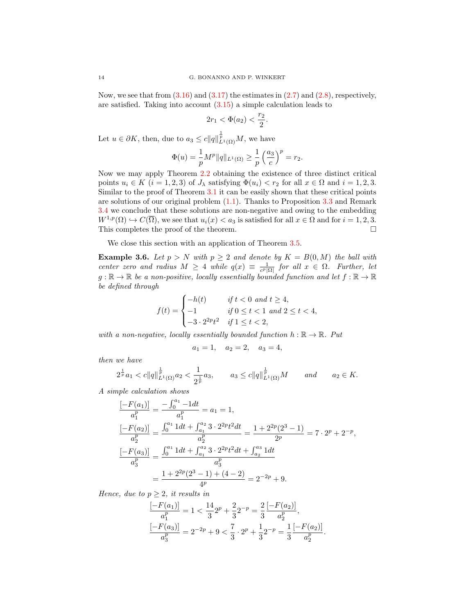Now, we see that from  $(3.16)$  and  $(3.17)$  the estimates in  $(2.7)$  and  $(2.8)$ , respectively, are satisfied. Taking into account [\(3.15\)](#page-12-2) a simple calculation leads to

$$
2r_1 < \Phi(a_2) < \frac{r_2}{2}.
$$

Let  $u \in \partial K$ , then, due to  $a_3 \leq c ||q||^{\frac{1}{p}}_{L^1(\Omega)}M$ , we have

$$
\Phi(u)=\frac{1}{p}M^p\|q\|_{L^1(\Omega)}\geq \frac{1}{p}\left(\frac{a_3}{c}\right)^p=r_2.
$$

Now we may apply Theorem [2.2](#page-5-1) obtaining the existence of three distinct critical points  $u_i \in K$   $(i = 1, 2, 3)$  of  $J_\lambda$  satisfying  $\Phi(u_i) < r_2$  for all  $x \in \Omega$  and  $i = 1, 2, 3$ . Similar to the proof of Theorem [3.1](#page-7-0) it can be easily shown that these critical points are solutions of our original problem [\(1.1\)](#page-0-0). Thanks to Proposition [3.3](#page-10-1) and Remark [3.4](#page-11-2) we conclude that these solutions are non-negative and owing to the embedding  $W^{1,p}(\Omega) \hookrightarrow C(\overline{\Omega})$ , we see that  $u_i(x) < a_3$  is satisfied for all  $x \in \Omega$  and for  $i = 1, 2, 3$ . This completes the proof of the theorem.

We close this section with an application of Theorem [3.5.](#page-12-3)

**Example 3.6.** Let  $p > N$  with  $p \ge 2$  and denote by  $K = B(0, M)$  the ball with center zero and radius  $M \geq 4$  while  $q(x) \equiv \frac{1}{c^p |\Omega|}$  for all  $x \in \Omega$ . Further, let  $g : \mathbb{R} \to \mathbb{R}$  be a non-positive, locally essentially bounded function and let  $f : \mathbb{R} \to \mathbb{R}$ be defined through

$$
f(t) = \begin{cases} -h(t) & \text{if } t < 0 \text{ and } t \ge 4, \\ -1 & \text{if } 0 \le t < 1 \text{ and } 2 \le t < 4, \\ -3 \cdot 2^{2p} t^2 & \text{if } 1 \le t < 2, \end{cases}
$$

with a non-negative, locally essentially bounded function  $h : \mathbb{R} \to \mathbb{R}$ . Put

$$
a_1 = 1, \quad a_2 = 2, \quad a_3 = 4,
$$

then we have

$$
2^{\frac{1}{p}}a_1 < c \|q\|_{L^1(\Omega)}^{\frac{1}{p}}a_2 < \frac{1}{2^{\frac{1}{p}}}a_3, \qquad a_3 \leq c \|q\|_{L^1(\Omega)}^{\frac{1}{p}}M \qquad \text{and} \qquad a_2 \in K.
$$

A simple calculation shows

$$
\frac{[-F(a_1)]}{a_1^p} = \frac{-\int_0^{a_1} -1dt}{a_1^p} = a_1 = 1,
$$
\n
$$
\frac{[-F(a_2)]}{a_2^p} = \frac{\int_0^{a_1} 1dt + \int_{a_1}^{a_2} 3 \cdot 2^{2p} t^2 dt}{a_2^p} = \frac{1 + 2^{2p}(2^3 - 1)}{2^p} = 7 \cdot 2^p + 2^{-p},
$$
\n
$$
\frac{[-F(a_3)]}{a_3^p} = \frac{\int_0^{a_1} 1dt + \int_{a_1}^{a_2} 3 \cdot 2^{2p} t^2 dt + \int_{a_2}^{a_3} 1dt}{a_3^p}
$$
\n
$$
= \frac{1 + 2^{2p}(2^3 - 1) + (4 - 2)}{4^p} = 2^{-2p} + 9.
$$

Hence, due to  $p \geq 2$ , it results in

$$
\frac{[-F(a_1)]}{a_1^p} = 1 < \frac{14}{3}2^p + \frac{2}{3}2^{-p} = \frac{2}{3} \frac{[-F(a_2)]}{a_2^p},
$$
\n
$$
\frac{[-F(a_3)]}{a_3^p} = 2^{-2p} + 9 < \frac{7}{3} \cdot 2^p + \frac{1}{3}2^{-p} = \frac{1}{3} \frac{[-F(a_2)]}{a_2^p}
$$

.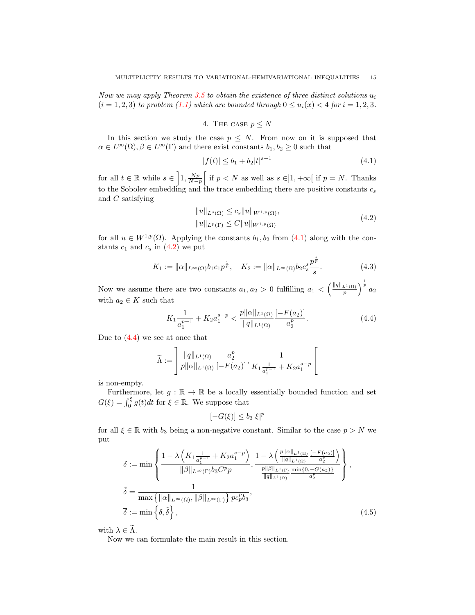Now we may apply Theorem [3.5](#page-12-3) to obtain the existence of three distinct solutions  $u_i$  $(i = 1, 2, 3)$  to problem [\(1.1\)](#page-0-0) which are bounded through  $0 \le u_i(x) < 4$  for  $i = 1, 2, 3$ .

# 4. THE CASE  $p \leq N$

<span id="page-14-0"></span>In this section we study the case  $p \leq N$ . From now on it is supposed that  $\alpha \in L^{\infty}(\Omega)$ ,  $\beta \in L^{\infty}(\Gamma)$  and there exist constants  $b_1, b_2 \geq 0$  such that

<span id="page-14-1"></span>
$$
|f(t)| \le b_1 + b_2 |t|^{s-1} \tag{4.1}
$$

for all  $t \in \mathbb{R}$  while  $s \in \left]1, \frac{Np}{N-p}\right[$  if  $p < N$  as well as  $s \in ]1, +\infty[$  if  $p = N$ . Thanks to the Sobolev embedding and the trace embedding there are positive constants  $c_s$ and C satisfying

<span id="page-14-5"></span><span id="page-14-2"></span>
$$
||u||_{L^{s}(\Omega)} \leq c_s ||u||_{W^{1,p}(\Omega)},
$$
  
\n
$$
||u||_{L^{p}(\Gamma)} \leq C ||u||_{W^{1,p}(\Omega)}
$$
\n(4.2)

for all  $u \in W^{1,p}(\Omega)$ . Applying the constants  $b_1, b_2$  from  $(4.1)$  along with the constants  $c_1$  and  $c_s$  in  $(4.2)$  we put

$$
K_1 := \|\alpha\|_{L^{\infty}(\Omega)} b_1 c_1 p^{\frac{1}{p}}, \quad K_2 := \|\alpha\|_{L^{\infty}(\Omega)} b_2 c_s^s \frac{p^{\frac{s}{p}}}{s}.
$$
 (4.3)

Now we assume there are two constants  $a_1, a_2 > 0$  fulfilling  $a_1 < \left(\frac{\|q\|_{L^1(\Omega)}}{p}\right)^{\frac{1}{p}} a_2$ with  $a_2 \in K$  such that

$$
K_{1}\frac{1}{a_{1}^{p-1}} + K_{2}a_{1}^{s-p} < \frac{p||\alpha||_{L^{1}(\Omega)}}{||q||_{L^{1}(\Omega)}} \frac{[-F(a_{2})]}{a_{2}^{p}}.\tag{4.4}
$$

Due to  $(4.4)$  we see at once that

$$
\widetilde{\Lambda} := \left[ \frac{\|q\|_{L^1(\Omega)}}{p\|\alpha\|_{L^1(\Omega)}} \frac{a_2^p}{[-F(a_2)]}, \frac{1}{K_1 \frac{1}{a_1^{p-1}} + K_2 a_1^{s-p}} \right[
$$

is non-empty.

Furthermore, let  $g : \mathbb{R} \to \mathbb{R}$  be a locally essentially bounded function and set  $G(\xi) = \int_0^{\xi} g(t)dt$  for  $\xi \in \mathbb{R}$ . We suppose that

<span id="page-14-4"></span><span id="page-14-3"></span>
$$
[-G(\xi)] \le b_3 |\xi|^p
$$

for all  $\xi \in \mathbb{R}$  with  $b_3$  being a non-negative constant. Similar to the case  $p > N$  we put

$$
\delta := \min \left\{ \frac{1 - \lambda \left( K_1 \frac{1}{a_1^{p-1}} + K_2 a_1^{s-p} \right)}{\|\beta\|_{L^\infty(\Gamma)} b_3 C^p p}, \frac{1 - \lambda \left( \frac{p \|\alpha\|_{L^1(\Omega)}}{\|q\|_{L^1(\Omega)}} \frac{[-F(a_2)]}{a_2^p} \right)}{\frac{p \|\beta\|_{L^1(\Gamma)}}{\|q\|_{L^1(\Omega)}} \frac{\min\{0, -G(a_2)\}}{a_2^p}} \right\},
$$
\n
$$
\tilde{\delta} = \frac{1}{\max \{ \|\alpha\|_{L^\infty(\Omega)}, \|\beta\|_{L^\infty(\Gamma)} \} p c_p^p b_3},
$$
\n
$$
\overline{\delta} := \min \left\{ \delta, \tilde{\delta} \right\}, \tag{4.5}
$$

with  $\lambda \in \widetilde{\Lambda}$ .

Now we can formulate the main result in this section.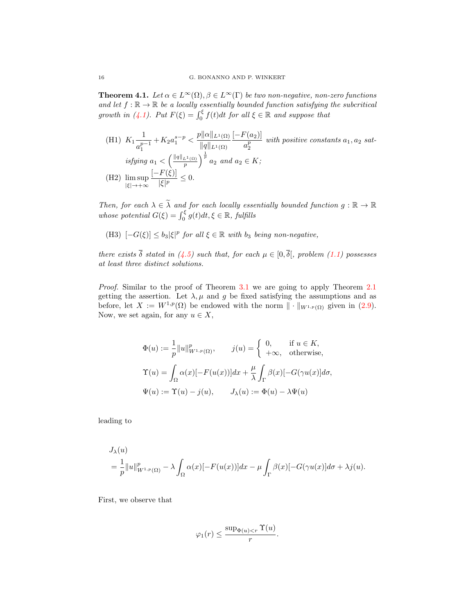<span id="page-15-0"></span>**Theorem 4.1.** Let  $\alpha \in L^{\infty}(\Omega)$ ,  $\beta \in L^{\infty}(\Gamma)$  be two non-negative, non-zero functions and let  $f : \mathbb{R} \to \mathbb{R}$  be a locally essentially bounded function satisfying the subcritical growth in [\(4.1\)](#page-14-1). Put  $F(\xi) = \int_0^{\xi} f(t)dt$  for all  $\xi \in \mathbb{R}$  and suppose that

(H1)  $K_1 \frac{1}{n}$  $\frac{1}{a_1^{p-1}} + K_2 a_1^{s-p} < \frac{p||\alpha||_{L^1(\Omega)}}{||q||_{L^1(\Omega)}}$ 1  $||q||_{L^1(\Omega)}$  $[-F(a_2)]$  $\frac{a_2^{(2)}-1}{a_2^{p}}$  with positive constants  $a_1, a_2$  satisfying  $a_1 < \left(\frac{\|q\|_{L^1(\Omega)}}{p}\right)^{\frac{1}{p}} a_2$  and  $a_2 \in K$ ; (H2) lim sup |ξ|→+∞  $[-F(\xi)]$  $\frac{1}{|\xi|^p} \leq 0.$ 

Then, for each  $\lambda \in \widetilde{\lambda}$  and for each locally essentially bounded function  $g : \mathbb{R} \to \mathbb{R}$ whose potential  $G(\xi) = \int_0^{\xi} g(t)dt, \xi \in \mathbb{R}$ , fulfills

(H3)  $[-G(\xi)] \leq b_3 |\xi|^p$  for all  $\xi \in \mathbb{R}$  with  $b_3$  being non-negative,

there exists  $\overline{\delta}$  stated in [\(4.5\)](#page-14-4) such that, for each  $\mu \in [0, \overline{\delta}],$  problem [\(1.1\)](#page-0-0) possesses at least three distinct solutions.

Proof. Similar to the proof of Theorem [3.1](#page-7-0) we are going to apply Theorem [2.1](#page-3-1) getting the assertion. Let  $\lambda, \mu$  and g be fixed satisfying the assumptions and as before, let  $X := W^{1,p}(\Omega)$  be endowed with the norm  $\|\cdot\|_{W^{1,p}(\Omega)}$  given in [\(2.9\)](#page-6-3). Now, we set again, for any  $u \in X$ ,

$$
\Phi(u) := \frac{1}{p} ||u||_{W^{1,p}(\Omega)}^p, \qquad j(u) = \begin{cases} 0, & \text{if } u \in K, \\ +\infty, & \text{otherwise,} \end{cases}
$$

$$
\Upsilon(u) = \int_{\Omega} \alpha(x) [-F(u(x))] dx + \frac{\mu}{\lambda} \int_{\Gamma} \beta(x) [-G(\gamma u(x)] d\sigma,
$$

$$
\Psi(u) := \Upsilon(u) - j(u), \qquad J_{\lambda}(u) := \Phi(u) - \lambda \Psi(u)
$$

leading to

$$
J_{\lambda}(u)
$$
  
=  $\frac{1}{p} ||u||_{W^{1,p}(\Omega)}^p - \lambda \int_{\Omega} \alpha(x) [-F(u(x))] dx - \mu \int_{\Gamma} \beta(x) [-G(\gamma u(x)] d\sigma + \lambda j(u)].$ 

First, we observe that

$$
\varphi_1(r) \le \frac{\sup_{\Phi(u) < r} \Upsilon(u)}{r}.
$$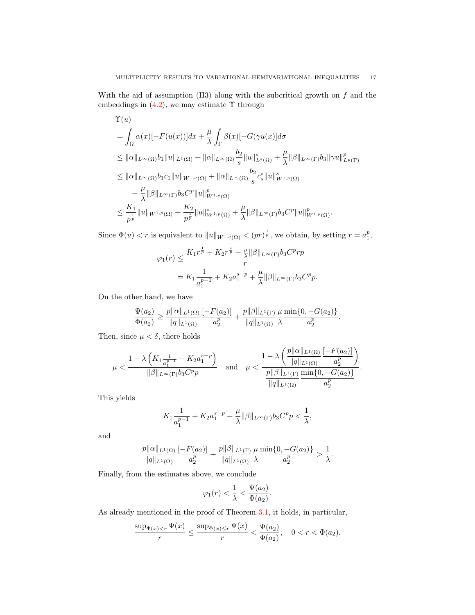With the aid of assumption  $(H3)$  along with the subcritical growth on  $f$  and the embeddings in  $(4.2)$ , we may estimate  $\Upsilon$  through

$$
\begin{split}\n\Upsilon(u) \\
&= \int_{\Omega} \alpha(x) [-F(u(x))] dx + \frac{\mu}{\lambda} \int_{\Gamma} \beta(x) [-G(\gamma u(x)] d\sigma \\
&\leq ||\alpha||_{L^{\infty}(\Omega)} b_1 ||u||_{L^1(\Omega)} + ||\alpha||_{L^{\infty}(\Omega)} \frac{b_2}{s} ||u||_{L^s(\Omega)}^s + \frac{\mu}{\lambda} ||\beta||_{L^{\infty}(\Gamma)} b_3 ||\gamma u||_{L^p(\Gamma)}^p \\
&\leq ||\alpha||_{L^{\infty}(\Omega)} b_1 c_1 ||u||_{W^{1,p}(\Omega)} + ||\alpha||_{L^{\infty}(\Omega)} \frac{b_2}{s} c_s^s ||u||_{W^{1,p}(\Omega)}^s \\
&\quad + \frac{\mu}{\lambda} ||\beta||_{L^{\infty}(\Gamma)} b_3 C^p ||u||_{W^{1,p}(\Omega)}^p \\
&\leq \frac{K_1}{p^{\frac{1}{p}}} ||u||_{W^{1,p}(\Omega)} + \frac{K_2}{p^{\frac{s}{p}}} ||u||_{W^{1,p}(\Omega)}^s + \frac{\mu}{\lambda} ||\beta||_{L^{\infty}(\Gamma)} b_3 C^p ||u||_{W^{1,p}(\Omega)}^p.\n\end{split}
$$

Since  $\Phi(u) < r$  is equivalent to  $||u||_{W^{1,p}(\Omega)} < (pr)^{\frac{1}{p}}$ , we obtain, by setting  $r = a_1^p$ ,

$$
\varphi_1(r) \le \frac{K_1 r^{\frac{1}{p}} + K_2 r^{\frac{s}{p}} + \frac{\mu}{\lambda} ||\beta||_{L^{\infty}(\Gamma)} b_3 C^p r p}{r}
$$
  
=  $K_1 \frac{1}{a_1^{p-1}} + K_2 a_1^{s-p} + \frac{\mu}{\lambda} ||\beta||_{L^{\infty}(\Gamma)} b_3 C^p p.$ 

On the other hand, we have

$$
\frac{\Psi(a_2)}{\Phi(a_2)} \geq \frac{p\|\alpha\|_{L^1(\Omega)}}{\|q\|_{L^1(\Omega)}} \frac{[-F(a_2)]}{a_2^p} + \frac{p\|\beta\|_{L^1(\Gamma)}}{\|q\|_{L^1(\Omega)}} \frac{\mu}{\lambda} \frac{\min\{0, -G(a_2)\}}{a_2^p}.
$$

Then, since  $\mu < \delta$ , there holds

$$
\mu < \frac{1 - \lambda \left( K_1 \frac{1}{a_1^{p-1}} + K_2 a_1^{s-p} \right)}{\|\beta\|_{L^{\infty}(\Gamma)} b_3 C^p p} \quad \text{and} \quad \mu < \frac{1 - \lambda \left( \frac{p ||\alpha||_{L^1(\Omega)}}{||q||_{L^1(\Omega)}} \frac{[-F(a_2)]}{a_2^p} \right)}{\frac{p ||\beta||_{L^1(\Gamma)}}{||q||_{L^1(\Omega)}} \frac{\min\{0, -G(a_2)\}}{a_2^p}}.
$$

This yields

$$
K_{1}\frac{1}{a_{1}^{p-1}}+K_{2}a_{1}^{s-p}+\frac{\mu}{\lambda}\|\beta\|_{L^{\infty}(\Gamma)}b_{3}C^{p}p<\frac{1}{\lambda},
$$

and

$$
\frac{p||\alpha||_{L^1(\Omega)}}{||q||_{L^1(\Omega)}} \frac{[-F(a_2)]}{a_2^p} + \frac{p||\beta||_{L^1(\Gamma)}}{||q||_{L^1(\Omega)}} \frac{\mu}{\lambda} \frac{\min\{0, -G(a_2)\}}{a_2^p} > \frac{1}{\lambda}.
$$

Finally, from the estimates above, we conclude

$$
\varphi_1(r) < \frac{1}{\lambda} < \frac{\Psi(a_2)}{\Phi(a_2)}.
$$

As already mentioned in the proof of Theorem [3.1,](#page-7-0) it holds, in particular,

$$
\frac{\sup_{\Phi(x)
$$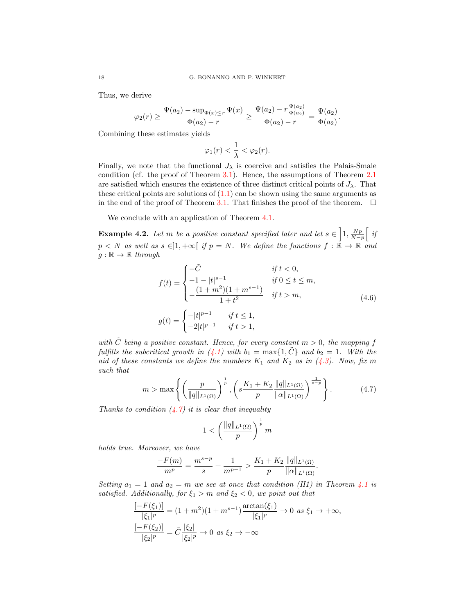Thus, we derive

$$
\varphi_2(r) \ge \frac{\Psi(a_2) - \sup_{\Phi(x) \le r} \Psi(x)}{\Phi(a_2) - r} \ge \frac{\Psi(a_2) - r \frac{\Psi(a_2)}{\Phi(a_2)}}{\Phi(a_2) - r} = \frac{\Psi(a_2)}{\Phi(a_2)}.
$$

Combining these estimates yields

$$
\varphi_1(r) < \frac{1}{\lambda} < \varphi_2(r).
$$

Finally, we note that the functional  $J_{\lambda}$  is coercive and satisfies the Palais-Smale condition (cf. the proof of Theorem [3.1\)](#page-7-0). Hence, the assumptions of Theorem [2.1](#page-3-1) are satisfied which ensures the existence of three distinct critical points of  $J_{\lambda}$ . That these critical points are solutions of  $(1.1)$  can be shown using the same arguments as in the end of the proof of Theorem [3.1.](#page-7-0) That finishes the proof of the theorem.  $\Box$ 

We conclude with an application of Theorem [4.1.](#page-15-0)

**Example 4.2.** Let m be a positive constant specified later and let  $s \in \left[1, \frac{Np}{N-p}\right]$  if  $p < N$  as well as  $s \in ]1, +\infty[$  if  $p = N$ . We define the functions  $f : \mathbb{R} \to \mathbb{R}$  and  $g : \mathbb{R} \to \mathbb{R}$  through

<span id="page-17-1"></span>
$$
f(t) = \begin{cases} -\tilde{C} & \text{if } t < 0, \\ -1 - |t|^{s-1} & \text{if } 0 \le t \le m, \\ -\frac{(1+m^2)(1+m^{s-1})}{1+t^2} & \text{if } t > m, \end{cases} \tag{4.6}
$$
\n
$$
g(t) = \begin{cases} -|t|^{p-1} & \text{if } t \le 1, \\ -2|t|^{p-1} & \text{if } t > 1, \end{cases}
$$

with  $\tilde{C}$  being a positive constant. Hence, for every constant  $m > 0$ , the mapping f fulfills the subcritical growth in [\(4.1\)](#page-14-1) with  $b_1 = \max\{1, \tilde{C}\}\$  and  $b_2 = 1$ . With the aid of these constants we define the numbers  $K_1$  and  $K_2$  as in [\(4.3\)](#page-14-5). Now, fix m such that

$$
m > \max\left\{ \left( \frac{p}{\|q\|_{L^1(\Omega)}} \right)^{\frac{1}{p}}, \left( s \frac{K_1 + K_2}{p} \frac{\|q\|_{L^1(\Omega)}}{\| \alpha \|_{L^1(\Omega)}} \right)^{\frac{1}{s-p}} \right\}.
$$
 (4.7)

Thanks to condition  $(4.7)$  it is clear that inequality

<span id="page-17-0"></span>
$$
1 < \left(\frac{\|q\|_{L^1(\Omega)}}{p}\right)^{\frac{1}{p}} m
$$

holds true. Moreover, we have

$$
\frac{-F(m)}{m^p} = \frac{m^{s-p}}{s} + \frac{1}{m^{p-1}} > \frac{K_1 + K_2}{p} \frac{\|q\|_{L^1(\Omega)}}{\| \alpha\|_{L^1(\Omega)}}.
$$

Setting  $a_1 = 1$  and  $a_2 = m$  we see at once that condition (H1) in Theorem [4.1](#page-15-0) is satisfied. Additionally, for  $\xi_1 > m$  and  $\xi_2 < 0$ , we point out that

$$
\frac{[-F(\xi_1)]}{|\xi_1|^p} = (1+m^2)(1+m^{s-1})\frac{\arctan(\xi_1)}{|\xi_1|^p} \to 0 \text{ as } \xi_1 \to +\infty,
$$
  

$$
\frac{[-F(\xi_2)]}{|\xi_2|^p} = \tilde{C}\frac{|\xi_2|}{|\xi_2|^p} \to 0 \text{ as } \xi_2 \to -\infty
$$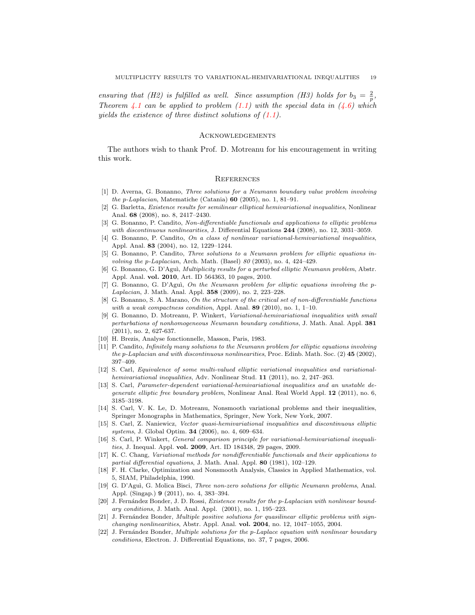ensuring that (H2) is fulfilled as well. Since assumption (H3) holds for  $b_3 = \frac{2}{p}$ , Theorem [4.1](#page-15-0) can be applied to problem  $(1.1)$  with the special data in  $(4.6)$  which yields the existence of three distinct solutions of [\(1.1\)](#page-0-0).

### Acknowledgements

The authors wish to thank Prof. D. Motreanu for his encouragement in writing this work.

## **REFERENCES**

- <span id="page-18-12"></span>[1] D. Averna, G. Bonanno, Three solutions for a Neumann boundary value problem involving the p-Laplacian, Matematiche (Catania) 60 (2005), no. 1, 81–91.
- <span id="page-18-2"></span>[2] G. Barletta, Existence results for semilinear elliptical hemivariational inequalities, Nonlinear Anal. 68 (2008), no. 8, 2417–2430.
- <span id="page-18-3"></span>[3] G. Bonanno, P. Candito, Non-differentiable functionals and applications to elliptic problems with discontinuous nonlinearities, J. Differential Equations 244 (2008), no. 12, 3031-3059.
- <span id="page-18-1"></span>[4] G. Bonanno, P. Candito, On a class of nonlinear variational-hemivariational inequalities, Appl. Anal. 83 (2004), no. 12, 1229–1244.
- <span id="page-18-13"></span>[5] G. Bonanno, P. Candito, Three solutions to a Neumann problem for elliptic equations involving the p-Laplacian, Arch. Math. (Basel)  $80$  (2003), no. 4, 424-429.
- <span id="page-18-14"></span>[6] G. Bonanno, G. D'Aguì, Multiplicity results for a perturbed elliptic Neumann problem, Abstr. Appl. Anal. vol. 2010, Art. ID 564363, 10 pages, 2010.
- <span id="page-18-15"></span>[7] G. Bonanno, G. D'Aguì, On the Neumann problem for elliptic equations involving the p-Laplacian, J. Math. Anal. Appl. 358 (2009), no. 2, 223–228.
- <span id="page-18-0"></span>[8] G. Bonanno, S. A. Marano, On the structure of the critical set of non-differentiable functions with a weak compactness condition, Appl. Anal.  $89$  (2010), no. 1, 1–10.
- <span id="page-18-6"></span>[9] G. Bonanno, D. Motreanu, P. Winkert, Variational-hemivariational inequalities with small perturbations of nonhomogeneous Neumann boundary conditions, J. Math. Anal. Appl. 381 (2011), no. 2, 627-637.
- <span id="page-18-21"></span>[10] H. Brezis, Analyse fonctionnelle, Masson, Paris, 1983.
- <span id="page-18-17"></span>[11] P. Candito, *Infinitely many solutions to the Neumann problem for elliptic equations involving* the p-Laplacian and with discontinuous nonlinearities, Proc. Edinb. Math. Soc. (2) 45 (2002), 397–409.
- <span id="page-18-18"></span>[12] S. Carl, Equivalence of some multi-valued elliptic variational inequalities and variationalhemivariational inequalities, Adv. Nonlinear Stud. 11 (2011), no. 2, 247-263.
- <span id="page-18-4"></span>[13] S. Carl, *Parameter-dependent variational-hemivariational inequalities and an unstable de*generate elliptic free boundary problem, Nonlinear Anal. Real World Appl. 12 (2011), no. 6, 3185–3198.
- <span id="page-18-7"></span>[14] S. Carl, V. K. Le, D. Motreanu, Nonsmooth variational problems and their inequalities, Springer Monographs in Mathematics, Springer, New York, New York, 2007.
- <span id="page-18-5"></span>[15] S. Carl, Z. Naniewicz, Vector quasi-hemivariational inequalities and discontinuous elliptic systems, J. Global Optim. 34 (2006), no. 4, 609–634.
- <span id="page-18-8"></span>[16] S. Carl, P. Winkert, General comparison principle for variational-hemivariational inequalities, J. Inequal. Appl. vol. 2009, Art. ID 184348, 29 pages, 2009.
- <span id="page-18-20"></span>[17] K. C. Chang, Variational methods for nondifferentiable functionals and their applications to partial differential equations, J. Math. Anal. Appl. 80 (1981), 102-129.
- <span id="page-18-19"></span>[18] F. H. Clarke, Optimization and Nonsmooth Analysis, Classics in Applied Mathematics, vol. 5, SIAM, Philadelphia, 1990.
- <span id="page-18-16"></span>[19] G. D'Agu`ı, G. Molica Bisci, Three non-zero solutions for elliptic Neumann problems, Anal. Appl. (Singap.) 9 (2011), no. 4, 383–394.
- <span id="page-18-9"></span>[20] J. Fernández Bonder, J. D. Rossi, Existence results for the p-Laplacian with nonlinear boundary conditions, J. Math. Anal. Appl. (2001), no. 1, 195–223.
- <span id="page-18-10"></span>[21] J. Fernández Bonder, Multiple positive solutions for quasilinear elliptic problems with signchanging nonlinearities, Abstr. Appl. Anal. vol. 2004, no. 12, 1047-1055, 2004.
- <span id="page-18-11"></span>[22] J. Fernández Bonder, Multiple solutions for the p-Laplace equation with nonlinear boundary conditions, Electron. J. Differential Equations, no. 37, 7 pages, 2006.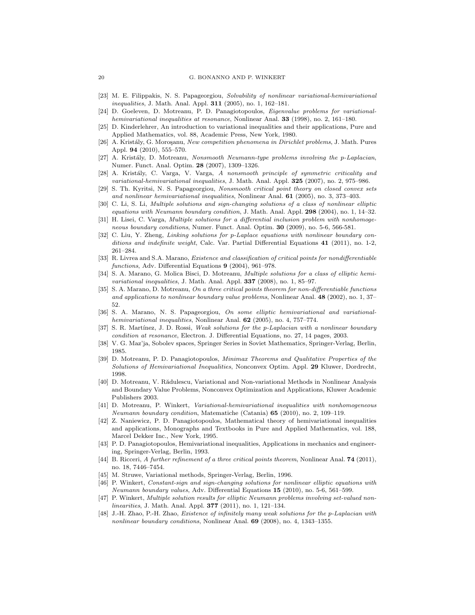- <span id="page-19-0"></span>[23] M. E. Filippakis, N. S. Papageorgiou, Solvability of nonlinear variational-hemivariational inequalities, J. Math. Anal. Appl. 311 (2005), no. 1, 162–181.
- <span id="page-19-1"></span>[24] D. Goeleven, D. Motreanu, P. D. Panagiotopoulos, Eigenvalue problems for variationalhemivariational inequalities at resonance, Nonlinear Anal. 33 (1998), no. 2, 161–180.
- <span id="page-19-13"></span>[25] D. Kinderlehrer, An introduction to variational inequalities and their applications, Pure and Applied Mathematics, vol. 88, Academic Press, New York, 1980.
- <span id="page-19-17"></span>[26] A. Kristály, G. Moroşanu, New competition phenomena in Dirichlet problems, J. Math. Pures Appl. 94 (2010), 555–570.
- <span id="page-19-16"></span>[27] A. Kristály, D. Motreanu, Nonsmooth Neumann-type problems involving the p-Laplacian, Numer. Funct. Anal. Optim. 28 (2007), 1309–1326.
- <span id="page-19-2"></span>[28] A. Kristály, C. Varga, V. Varga, A nonsmooth principle of symmetric criticality and variational-hemivariational inequalities, J. Math. Anal. Appl.  $325$  (2007), no. 2, 975–986.
- <span id="page-19-4"></span>[29] S. Th. Kyritsi, N. S. Papageorgiou, Nonsmooth critical point theory on closed convex sets and nonlinear hemivariational inequalities, Nonlinear Anal. 61 (2005), no. 3, 373-403.
- <span id="page-19-8"></span>[30] C. Li, S. Li, Multiple solutions and sign-changing solutions of a class of nonlinear elliptic equations with Neumann boundary condition, J. Math. Anal. Appl.  $298$  (2004), no. 1, 14–32.
- <span id="page-19-14"></span>[31] H. Lisei, C. Varga, Multiple solutions for a differential inclusion problem with nonhomogeneous boundary conditions, Numer. Funct. Anal. Optim. 30 (2009), no. 5-6, 566-581.
- <span id="page-19-9"></span>[32] C. Liu, Y. Zheng, Linking solutions for p-Laplace equations with nonlinear boundary conditions and indefinite weight, Calc. Var. Partial Differential Equations 41 (2011), no. 1-2, 261–284.
- <span id="page-19-24"></span>[33] R. Livrea and S.A. Marano, *Existence and classification of critical points for nondifferentiable* functions, Adv. Differential Equations 9 (2004), 961–978.
- <span id="page-19-5"></span>[34] S. A. Marano, G. Molica Bisci, D. Motreanu, Multiple solutions for a class of elliptic hemivariational inequalities, J. Math. Anal. Appl. 337 (2008), no. 1, 85-97.
- <span id="page-19-6"></span>[35] S. A. Marano, D. Motreanu, On a three critical points theorem for non-differentiable functions and applications to nonlinear boundary value problems, Nonlinear Anal. 48 (2002), no. 1, 37– 52.
- <span id="page-19-3"></span>[36] S. A. Marano, N. S. Papageorgiou, On some elliptic hemivariational and variationalhemivariational inequalities, Nonlinear Anal. 62 (2005), no. 4, 757-774.
- <span id="page-19-10"></span>[37] S. R. Martínez, J. D. Rossi, Weak solutions for the p-Laplacian with a nonlinear boundary condition at resonance, Electron. J. Differential Equations, no. 27, 14 pages, 2003.
- <span id="page-19-25"></span>[38] V. G. Maz'ja, Sobolev spaces, Springer Series in Soviet Mathematics, Springer-Verlag, Berlin, 1985.
- <span id="page-19-21"></span>[39] D. Motreanu, P. D. Panagiotopoulos, Minimax Theorems and Qualitative Properties of the Solutions of Hemivariational Inequalities, Nonconvex Optim. Appl. 29 Kluwer, Dordrecht, 1998.
- <span id="page-19-22"></span>[40] D. Motreanu, V. Rădulescu, Variational and Non-variational Methods in Nonlinear Analysis and Boundary Value Problems, Nonconvex Optimization and Applications, Kluwer Academic Publishers 2003.
- <span id="page-19-7"></span>[41] D. Motreanu, P. Winkert, Variational-hemivariational inequalities with nonhomogeneous Neumann boundary condition, Matematiche (Catania) 65 (2010), no. 2, 109–119.
- <span id="page-19-19"></span>[42] Z. Naniewicz, P. D. Panagiotopoulos, Mathematical theory of hemivariational inequalities and applications, Monographs and Textbooks in Pure and Applied Mathematics, vol. 188, Marcel Dekker Inc., New York, 1995.
- <span id="page-19-20"></span>[43] P. D. Panagiotopoulos, Hemivariational inequalities, Applications in mechanics and engineering, Springer-Verlag, Berlin, 1993.
- <span id="page-19-18"></span>[44] B. Ricceri, A further refinement of a three critical points theorem, Nonlinear Anal. **74** (2011), no. 18, 7446–7454.
- <span id="page-19-23"></span>[45] M. Struwe, Variational methods, Springer-Verlag, Berlin, 1996.
- <span id="page-19-11"></span>[46] P. Winkert, Constant-sign and sign-changing solutions for nonlinear elliptic equations with Neumann boundary values, Adv. Differential Equations 15 (2010), no. 5-6, 561–599.
- <span id="page-19-15"></span>[47] P. Winkert, Multiple solution results for elliptic Neumann problems involving set-valued nonlinearities, J. Math. Anal. Appl. **377** (2011), no. 1, 121-134.
- <span id="page-19-12"></span>[48] J.-H. Zhao, P.-H. Zhao, Existence of infinitely many weak solutions for the p-Laplacian with nonlinear boundary conditions, Nonlinear Anal. 69 (2008), no. 4, 1343-1355.